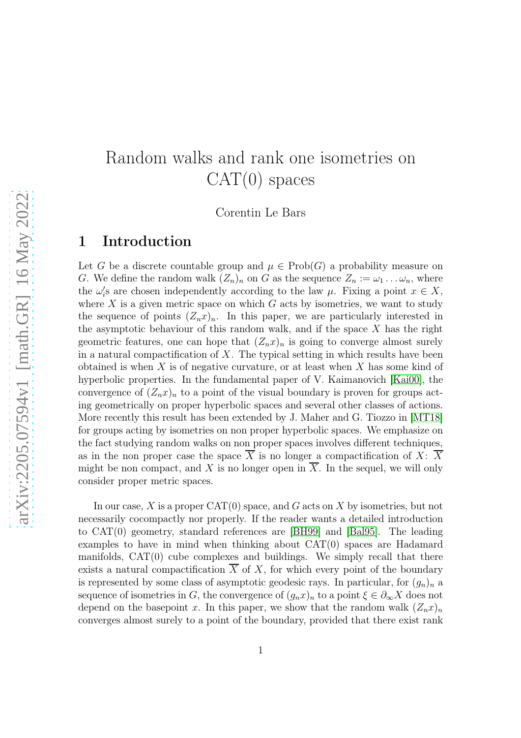# Random walks and rank one isometries on  $CAT(0)$  spaces

Corentin Le Bars

# 1 Introduction

Let G be a discrete countable group and  $\mu \in \mathrm{Prob}(G)$  a probability measure on G. We define the random walk  $(Z_n)_n$  on G as the sequence  $Z_n := \omega_1 \dots \omega_n$ , where the  $\omega_i$ 's are chosen independently according to the law  $\mu$ . Fixing a point  $x \in X$ , where X is a given metric space on which  $G$  acts by isometries, we want to study the sequence of points  $(Z_n x)_n$ . In this paper, we are particularly interested in the asymptotic behaviour of this random walk, and if the space  $X$  has the right geometric features, one can hope that  $(Z_n x)_n$  is going to converge almost surely in a natural compactification of  $X$ . The typical setting in which results have been obtained is when  $X$  is of negative curvature, or at least when  $X$  has some kind of hyperbolic properties. In the fundamental paper of V. Kaimanovich [\[Kai00\]](#page-28-0), the convergence of  $(Z_nx)_n$  to a point of the visual boundary is proven for groups acting geometrically on proper hyperbolic spaces and several other classes of actions. More recently this result has been extended by J. Maher and G. Tiozzo in [\[MT18\]](#page-28-1) for groups acting by isometries on non proper hyperbolic spaces. We emphasize on the fact studying random walks on non proper spaces involves different techniques, as in the non proper case the space  $\overline{X}$  is no longer a compactification of X:  $\overline{X}$ might be non compact, and  $X$  is no longer open in  $X$ . In the sequel, we will only consider proper metric spaces.

In our case, X is a proper  $CAT(0)$  space, and G acts on X by isometries, but not necessarily cocompactly nor properly. If the reader wants a detailed introduction to CAT(0) geometry, standard references are [\[BH99\]](#page-27-0) and [\[Bal95\]](#page-26-0). The leading examples to have in mind when thinking about  $CAT(0)$  spaces are Hadamard manifolds, CAT(0) cube complexes and buildings. We simply recall that there exists a natural compactification  $\overline{X}$  of X, for which every point of the boundary is represented by some class of asymptotic geodesic rays. In particular, for  $(g_n)_n$  a sequence of isometries in G, the convergence of  $(g_n x)_n$  to a point  $\xi \in \partial_\infty X$  does not depend on the basepoint x. In this paper, we show that the random walk  $(Z_n x)_n$ converges almost surely to a point of the boundary, provided that there exist rank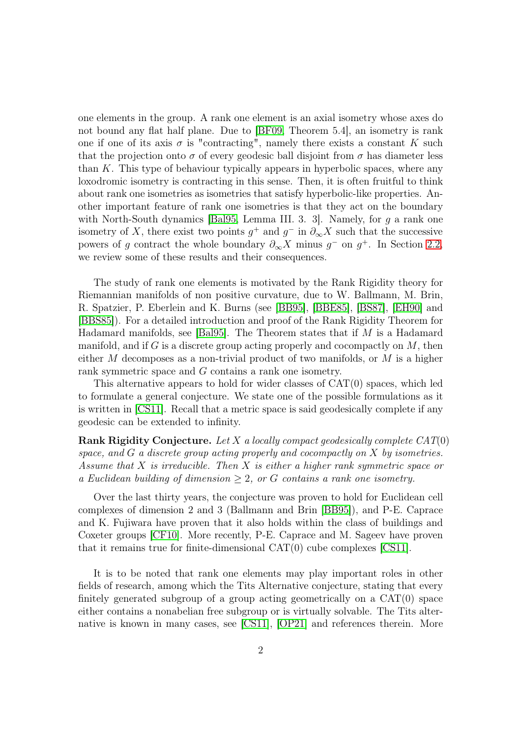one elements in the group. A rank one element is an axial isometry whose axes do not bound any flat half plane. Due to [\[BF09,](#page-26-1) Theorem 5.4], an isometry is rank one if one of its axis  $\sigma$  is "contracting", namely there exists a constant K such that the projection onto  $\sigma$  of every geodesic ball disjoint from  $\sigma$  has diameter less than K. This type of behaviour typically appears in hyperbolic spaces, where any loxodromic isometry is contracting in this sense. Then, it is often fruitful to think about rank one isometries as isometries that satisfy hyperbolic-like properties. Another important feature of rank one isometries is that they act on the boundary with North-South dynamics [\[Bal95,](#page-26-0) Lemma III. 3. 3]. Namely, for g a rank one isometry of X, there exist two points  $g^+$  and  $g^-$  in  $\partial_{\infty} X$  such that the successive powers of g contract the whole boundary  $\partial_{\infty} X$  minus g<sup>-</sup> on g<sup>+</sup>. In Section [2.2,](#page-7-0) we review some of these results and their consequences.

The study of rank one elements is motivated by the Rank Rigidity theory for Riemannian manifolds of non positive curvature, due to W. Ballmann, M. Brin, R. Spatzier, P. Eberlein and K. Burns (see [\[BB95\]](#page-26-2), [\[BBE85\]](#page-26-3), [\[BS87\]](#page-27-1), [\[EH90\]](#page-27-2) and [\[BBS85\]](#page-26-4)). For a detailed introduction and proof of the Rank Rigidity Theorem for Hadamard manifolds, see [\[Bal95\]](#page-26-0). The Theorem states that if M is a Hadamard manifold, and if G is a discrete group acting properly and cocompactly on  $M$ , then either M decomposes as a non-trivial product of two manifolds, or M is a higher rank symmetric space and G contains a rank one isometry.

This alternative appears to hold for wider classes of  $CAT(0)$  spaces, which led to formulate a general conjecture. We state one of the possible formulations as it is written in [\[CS11\]](#page-27-3). Recall that a metric space is said geodesically complete if any geodesic can be extended to infinity.

**Rank Rigidity Conjecture.** Let X a locally compact geodesically complete  $CAT(0)$ space, and G a discrete group acting properly and cocompactly on X by isometries. Assume that  $X$  is irreducible. Then  $X$  is either a higher rank symmetric space or a Euclidean building of dimension  $\geq 2$ , or G contains a rank one isometry.

Over the last thirty years, the conjecture was proven to hold for Euclidean cell complexes of dimension 2 and 3 (Ballmann and Brin [\[BB95\]](#page-26-2)), and P-E. Caprace and K. Fujiwara have proven that it also holds within the class of buildings and Coxeter groups [\[CF10\]](#page-27-4). More recently, P-E. Caprace and M. Sageev have proven that it remains true for finite-dimensional  $CAT(0)$  cube complexes  $|CS11|$ .

It is to be noted that rank one elements may play important roles in other fields of research, among which the Tits Alternative conjecture, stating that every finitely generated subgroup of a group acting geometrically on a  $CAT(0)$  space either contains a nonabelian free subgroup or is virtually solvable. The Tits alternative is known in many cases, see [\[CS11\]](#page-27-3), [\[OP21\]](#page-28-2) and references therein. More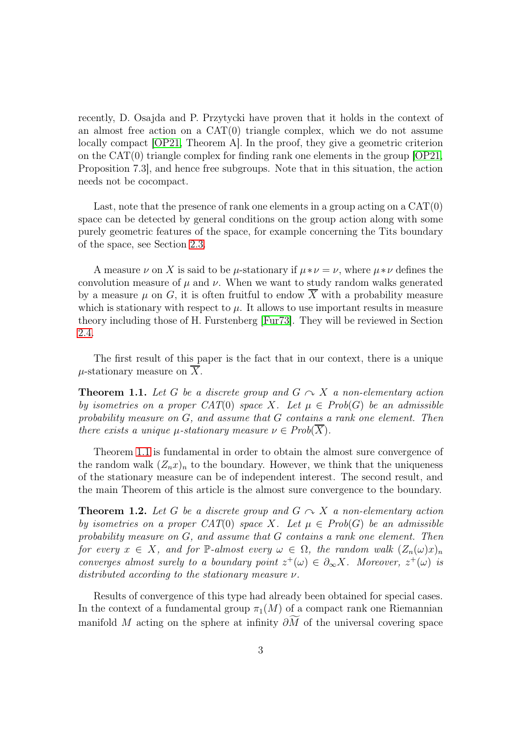recently, D. Osajda and P. Przytycki have proven that it holds in the context of an almost free action on a  $CAT(0)$  triangle complex, which we do not assume locally compact [\[OP21,](#page-28-2) Theorem A]. In the proof, they give a geometric criterion on the  $CAT(0)$  triangle complex for finding rank one elements in the group  $[OP21]$ , Proposition 7.3], and hence free subgroups. Note that in this situation, the action needs not be cocompact.

Last, note that the presence of rank one elements in a group acting on a  $CAT(0)$ space can be detected by general conditions on the group action along with some purely geometric features of the space, for example concerning the Tits boundary of the space, see Section [2.3.](#page-8-0)

A measure  $\nu$  on X is said to be  $\mu$ -stationary if  $\mu * \nu = \nu$ , where  $\mu * \nu$  defines the convolution measure of  $\mu$  and  $\nu$ . When we want to study random walks generated by a measure  $\mu$  on G, it is often fruitful to endow  $\overline{X}$  with a probability measure which is stationary with respect to  $\mu$ . It allows to use important results in measure theory including those of H. Furstenberg [\[Fur73\]](#page-27-5). They will be reviewed in Section [2.4.](#page-10-0)

The first result of this paper is the fact that in our context, there is a unique  $\mu$ -stationary measure on X.

<span id="page-2-0"></span>**Theorem 1.1.** Let G be a discrete group and  $G \sim X$  a non-elementary action by isometries on a proper CAT(0) space X. Let  $\mu \in Prob(G)$  be an admissible probability measure on  $G$ , and assume that  $G$  contains a rank one element. Then there exists a unique  $\mu$ -stationary measure  $\nu \in Prob(X)$ .

Theorem [1.1](#page-2-0) is fundamental in order to obtain the almost sure convergence of the random walk  $(Z_n x)_n$  to the boundary. However, we think that the uniqueness of the stationary measure can be of independent interest. The second result, and the main Theorem of this article is the almost sure convergence to the boundary.

<span id="page-2-1"></span>**Theorem 1.2.** Let G be a discrete group and  $G \sim X$  a non-elementary action by isometries on a proper  $CAT(0)$  space X. Let  $\mu \in Prob(G)$  be an admissible probability measure on G, and assume that G contains a rank one element. Then for every  $x \in X$ , and for P-almost every  $\omega \in \Omega$ , the random walk  $(Z_n(\omega)x)_n$ converges almost surely to a boundary point  $z^+(\omega) \in \partial_{\infty} X$ . Moreover,  $z^+(\omega)$  is distributed according to the stationary measure  $\nu$ .

Results of convergence of this type had already been obtained for special cases. In the context of a fundamental group  $\pi_1(M)$  of a compact rank one Riemannian manifold M acting on the sphere at infinity  $\partial M$  of the universal covering space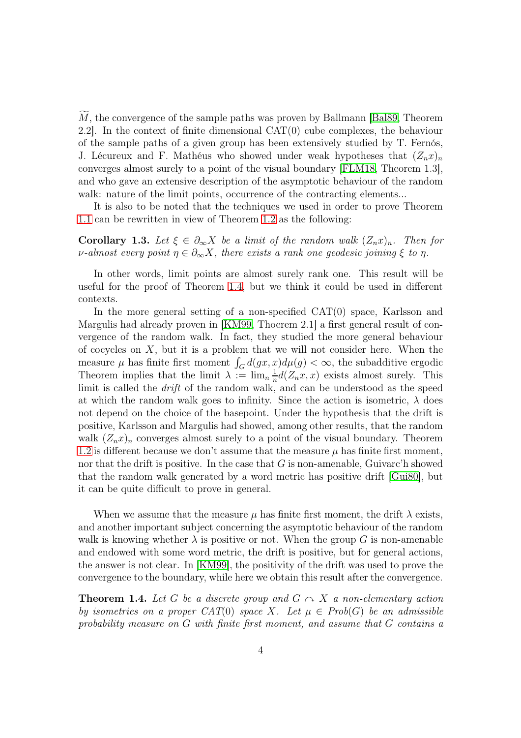$M$ , the convergence of the sample paths was proven by Ballmann  $|Ba|89$ , Theorem 2.2]. In the context of finite dimensional CAT(0) cube complexes, the behaviour of the sample paths of a given group has been extensively studied by T. Fernós, J. Lécureux and F. Mathéus who showed under weak hypotheses that  $(Z_n x)_n$ converges almost surely to a point of the visual boundary [\[FLM18,](#page-27-6) Theorem 1.3], and who gave an extensive description of the asymptotic behaviour of the random walk: nature of the limit points, occurrence of the contracting elements...

It is also to be noted that the techniques we used in order to prove Theorem [1.1](#page-2-0) can be rewritten in view of Theorem [1.2](#page-2-1) as the following:

**Corollary 1.3.** Let  $\xi \in \partial_{\infty} X$  be a limit of the random walk  $(Z_n x)_n$ . Then for v-almost every point  $\eta \in \partial_{\infty} X$ , there exists a rank one geodesic joining  $\xi$  to  $\eta$ .

In other words, limit points are almost surely rank one. This result will be useful for the proof of Theorem [1.4,](#page-3-0) but we think it could be used in different contexts.

In the more general setting of a non-specified  $CAT(0)$  space, Karlsson and Margulis had already proven in [\[KM99,](#page-28-3) Thoerem 2.1] a first general result of convergence of the random walk. In fact, they studied the more general behaviour of cocycles on  $X$ , but it is a problem that we will not consider here. When the measure  $\mu$  has finite first moment  $\int_G d(gx, x)d\mu(g) < \infty$ , the subadditive ergodic Theorem implies that the limit  $\lambda := \lim_{n \to \infty} \frac{1}{n}$  $\frac{1}{n}d(Z_nx,x)$  exists almost surely. This limit is called the *drift* of the random walk, and can be understood as the speed at which the random walk goes to infinity. Since the action is isometric,  $\lambda$  does not depend on the choice of the basepoint. Under the hypothesis that the drift is positive, Karlsson and Margulis had showed, among other results, that the random walk  $(Z_nx)_n$  converges almost surely to a point of the visual boundary. Theorem [1.2](#page-2-1) is different because we don't assume that the measure  $\mu$  has finite first moment, nor that the drift is positive. In the case that  $G$  is non-amenable, Guivarc'h showed that the random walk generated by a word metric has positive drift [\[Gui80\]](#page-28-4), but it can be quite difficult to prove in general.

When we assume that the measure  $\mu$  has finite first moment, the drift  $\lambda$  exists, and another important subject concerning the asymptotic behaviour of the random walk is knowing whether  $\lambda$  is positive or not. When the group G is non-amenable and endowed with some word metric, the drift is positive, but for general actions, the answer is not clear. In [\[KM99\]](#page-28-3), the positivity of the drift was used to prove the convergence to the boundary, while here we obtain this result after the convergence.

<span id="page-3-0"></span>**Theorem 1.4.** Let G be a discrete group and  $G \sim X$  a non-elementary action by isometries on a proper CAT(0) space X. Let  $\mu \in Prob(G)$  be an admissible probability measure on G with finite first moment, and assume that G contains a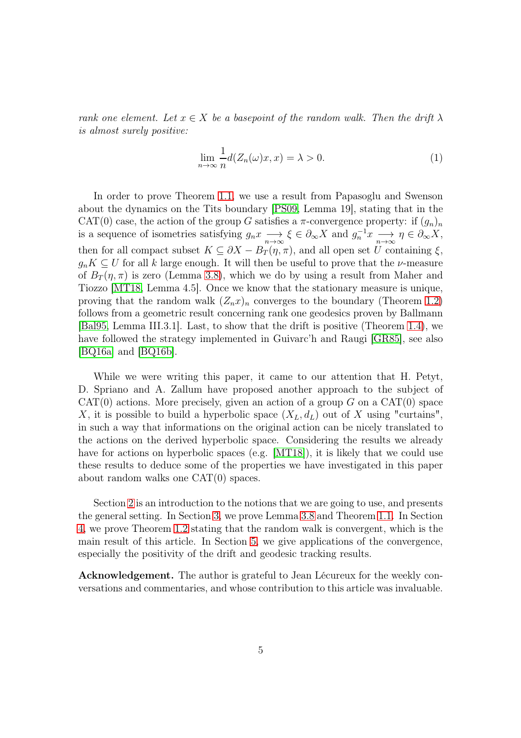rank one element. Let  $x \in X$  be a basepoint of the random walk. Then the drift  $\lambda$ is almost surely positive:

$$
\lim_{n \to \infty} \frac{1}{n} d(Z_n(\omega)x, x) = \lambda > 0.
$$
\n(1)

In order to prove Theorem [1.1,](#page-2-0) we use a result from Papasoglu and Swenson about the dynamics on the Tits boundary [\[PS09,](#page-28-5) Lemma 19], stating that in the CAT(0) case, the action of the group G satisfies a  $\pi$ -convergence property: if  $(g_n)_n$ is a sequence of isometries satisfying  $g_n x \longrightarrow \xi \in \partial_\infty X$  and  $g_n^{-1} x \longrightarrow \eta \in \partial_\infty X$ , then for all compact subset  $K \subseteq \partial X - B_T(\eta, \pi)$ , and all open set U containing  $\xi$ ,  $g_nK \subseteq U$  for all k large enough. It will then be useful to prove that the *v*-measure of  $B_T(\eta, \pi)$  is zero (Lemma [3.8\)](#page-15-0), which we do by using a result from Maher and Tiozzo [\[MT18,](#page-28-1) Lemma 4.5]. Once we know that the stationary measure is unique, proving that the random walk  $(Z_n x)_n$  converges to the boundary (Theorem [1.2\)](#page-2-1) follows from a geometric result concerning rank one geodesics proven by Ballmann [\[Bal95,](#page-26-0) Lemma III.3.1]. Last, to show that the drift is positive (Theorem [1.4\)](#page-3-0), we have followed the strategy implemented in Guivarc'h and Raugi [\[GR85\]](#page-27-7), see also [\[BQ16a\]](#page-27-8) and [\[BQ16b\]](#page-27-9).

While we were writing this paper, it came to our attention that H. Petyt, D. Spriano and A. Zallum have proposed another approach to the subject of  $CAT(0)$  actions. More precisely, given an action of a group G on a  $CAT(0)$  space X, it is possible to build a hyperbolic space  $(X_L, d_L)$  out of X using "curtains", in such a way that informations on the original action can be nicely translated to the actions on the derived hyperbolic space. Considering the results we already have for actions on hyperbolic spaces (e.g. [\[MT18\]](#page-28-1)), it is likely that we could use these results to deduce some of the properties we have investigated in this paper about random walks one CAT(0) spaces.

Section [2](#page-5-0) is an introduction to the notions that we are going to use, and presents the general setting. In Section [3,](#page-12-0) we prove Lemma [3.8](#page-15-0) and Theorem [1.1.](#page-2-0) In Section [4,](#page-17-0) we prove Theorem [1.2](#page-2-1) stating that the random walk is convergent, which is the main result of this article. In Section [5,](#page-20-0) we give applications of the convergence, especially the positivity of the drift and geodesic tracking results.

Acknowledgement. The author is grateful to Jean Lécureux for the weekly conversations and commentaries, and whose contribution to this article was invaluable.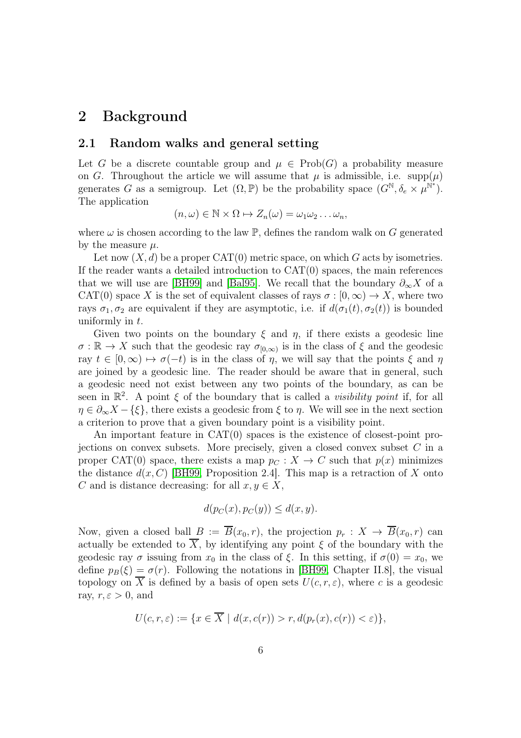### <span id="page-5-0"></span>2 Background

#### 2.1 Random walks and general setting

Let G be a discrete countable group and  $\mu \in \text{Prob}(G)$  a probability measure on G. Throughout the article we will assume that  $\mu$  is admissible, i.e. supp $(\mu)$ generates G as a semigroup. Let  $(\Omega, \mathbb{P})$  be the probability space  $(G^{\mathbb{N}}, \delta_e \times \mu^{\mathbb{N}^*})$ . The application

$$
(n,\omega) \in \mathbb{N} \times \Omega \mapsto Z_n(\omega) = \omega_1 \omega_2 \dots \omega_n,
$$

where  $\omega$  is chosen according to the law  $\mathbb{P}$ , defines the random walk on G generated by the measure  $\mu$ .

Let now  $(X, d)$  be a proper CAT(0) metric space, on which G acts by isometries. If the reader wants a detailed introduction to  $CAT(0)$  spaces, the main references that we will use are [\[BH99\]](#page-27-0) and [\[Bal95\]](#page-26-0). We recall that the boundary  $\partial_{\infty} X$  of a CAT(0) space X is the set of equivalent classes of rays  $\sigma : [0, \infty) \to X$ , where two rays  $\sigma_1, \sigma_2$  are equivalent if they are asymptotic, i.e. if  $d(\sigma_1(t), \sigma_2(t))$  is bounded uniformly in  $t$ .

Given two points on the boundary  $\xi$  and  $\eta$ , if there exists a geodesic line  $\sigma : \mathbb{R} \to X$  such that the geodesic ray  $\sigma_{[0,\infty)}$  is in the class of  $\xi$  and the geodesic ray  $t \in [0, \infty) \mapsto \sigma(-t)$  is in the class of  $\eta$ , we will say that the points  $\xi$  and  $\eta$ are joined by a geodesic line. The reader should be aware that in general, such a geodesic need not exist between any two points of the boundary, as can be seen in  $\mathbb{R}^2$ . A point  $\xi$  of the boundary that is called a *visibility point* if, for all  $\eta \in \partial_{\infty} X - \{\xi\},\$  there exists a geodesic from  $\xi$  to  $\eta$ . We will see in the next section a criterion to prove that a given boundary point is a visibility point.

An important feature in CAT(0) spaces is the existence of closest-point projections on convex subsets. More precisely, given a closed convex subset  $C$  in a proper CAT(0) space, there exists a map  $p_C : X \to C$  such that  $p(x)$  minimizes the distance  $d(x, C)$  [\[BH99,](#page-27-0) Proposition 2.4]. This map is a retraction of X onto C and is distance decreasing: for all  $x, y \in X$ ,

$$
d(p_C(x), p_C(y)) \le d(x, y).
$$

Now, given a closed ball  $B := \overline{B}(x_0, r)$ , the projection  $p_r : X \to \overline{B}(x_0, r)$  can actually be extended to  $\overline{X}$ , by identifying any point  $\xi$  of the boundary with the geodesic ray  $\sigma$  issuing from  $x_0$  in the class of  $\xi$ . In this setting, if  $\sigma(0) = x_0$ , we define  $p_B(\xi) = \sigma(r)$ . Following the notations in [\[BH99,](#page-27-0) Chapter II.8], the visual topology on  $\overline{X}$  is defined by a basis of open sets  $U(c, r, \varepsilon)$ , where c is a geodesic ray,  $r, \varepsilon > 0$ , and

$$
U(c, r, \varepsilon) := \{ x \in \overline{X} \mid d(x, c(r)) > r, d(p_r(x), c(r)) < \varepsilon) \},
$$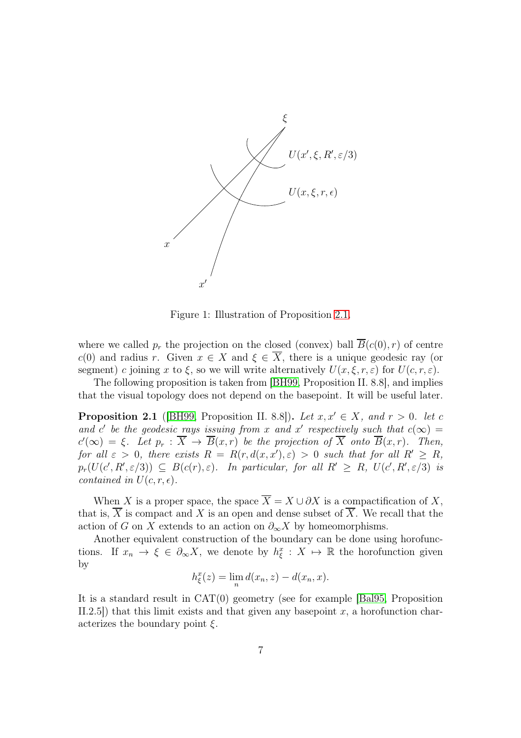

Figure 1: Illustration of Proposition [2.1.](#page-6-0)

where we called  $p_r$  the projection on the closed (convex) ball  $\overline{B}(c(0), r)$  of centre c(0) and radius r. Given  $x \in X$  and  $\xi \in \overline{X}$ , there is a unique geodesic ray (or segment) c joining x to  $\xi$ , so we will write alternatively  $U(x,\xi,r,\varepsilon)$  for  $U(c,r,\varepsilon)$ .

The following proposition is taken from [\[BH99,](#page-27-0) Proposition II. 8.8], and implies that the visual topology does not depend on the basepoint. It will be useful later.

<span id="page-6-0"></span>**Proposition 2.1** ([\[BH99,](#page-27-0) Proposition II. 8.8]). Let  $x, x' \in X$ , and  $r > 0$ . let c and c' be the geodesic rays issuing from x and x' respectively such that  $c(\infty)$  =  $c'(\infty) = \xi$ . Let  $p_r : \overline{X} \to \overline{B}(x,r)$  be the projection of  $\overline{X}$  onto  $\overline{B}(x,r)$ . Then, for all  $\varepsilon > 0$ , there exists  $R = R(r, d(x, x'), \varepsilon) > 0$  such that for all  $R' \ge R$ ,  $p_r(U(c', R', \varepsilon/3)) \subseteq B(c(r), \varepsilon)$ . In particular, for all  $R' \ge R$ ,  $U(c', R', \varepsilon/3)$  is contained in  $U(c, r, \epsilon)$ .

When X is a proper space, the space  $\overline{X} = X \cup \partial X$  is a compactification of X, that is,  $\overline{X}$  is compact and X is an open and dense subset of  $\overline{X}$ . We recall that the action of G on X extends to an action on  $\partial_{\infty} X$  by homeomorphisms.

Another equivalent construction of the boundary can be done using horofunctions. If  $x_n \to \xi \in \partial_{\infty} X$ , we denote by  $h_{\xi}^x : X \mapsto \mathbb{R}$  the horofunction given by

$$
h_{\xi}^{x}(z) = \lim_{n} d(x_n, z) - d(x_n, x).
$$

It is a standard result in CAT(0) geometry (see for example [\[Bal95,](#page-26-0) Proposition II.2.5) that this limit exists and that given any basepoint  $x$ , a horofunction characterizes the boundary point  $\xi$ .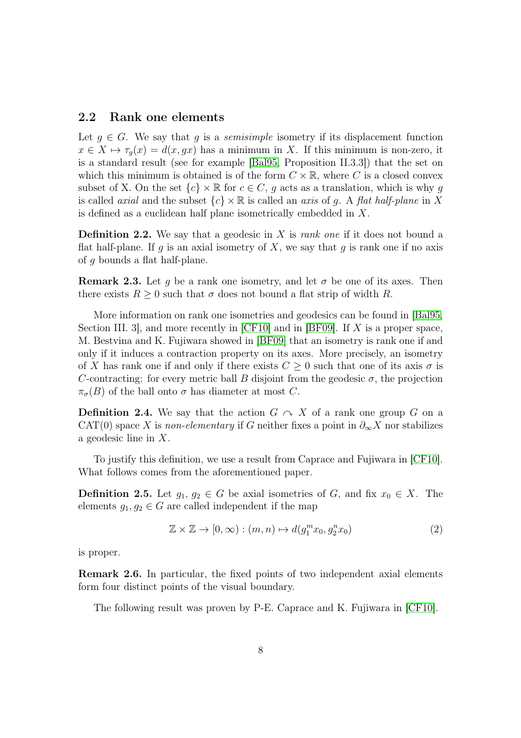#### <span id="page-7-0"></span>2.2 Rank one elements

Let  $g \in G$ . We say that g is a *semisimple* isometry if its displacement function  $x \in X \mapsto \tau_q(x) = d(x, gx)$  has a minimum in X. If this minimum is non-zero, it is a standard result (see for example [\[Bal95,](#page-26-0) Proposition II.3.3]) that the set on which this minimum is obtained is of the form  $C \times \mathbb{R}$ , where C is a closed convex subset of X. On the set  ${c} \times \mathbb{R}$  for  $c \in C$ , q acts as a translation, which is why q is called *axial* and the subset  ${c} \times \mathbb{R}$  is called an *axis* of g. A flat half-plane in X is defined as a euclidean half plane isometrically embedded in X.

**Definition 2.2.** We say that a geodesic in X is rank one if it does not bound a flat half-plane. If g is an axial isometry of X, we say that g is rank one if no axis of g bounds a flat half-plane.

<span id="page-7-1"></span>**Remark 2.3.** Let g be a rank one isometry, and let  $\sigma$  be one of its axes. Then there exists  $R \geq 0$  such that  $\sigma$  does not bound a flat strip of width R.

More information on rank one isometries and geodesics can be found in [\[Bal95,](#page-26-0) Section III. 3, and more recently in  $[CF10]$  and in  $[BF09]$ . If X is a proper space, M. Bestvina and K. Fujiwara showed in [\[BF09\]](#page-26-1) that an isometry is rank one if and only if it induces a contraction property on its axes. More precisely, an isometry of X has rank one if and only if there exists  $C \geq 0$  such that one of its axis  $\sigma$  is C-contracting: for every metric ball B disjoint from the geodesic  $\sigma$ , the projection  $\pi_{\sigma}(B)$  of the ball onto  $\sigma$  has diameter at most C.

**Definition 2.4.** We say that the action  $G \curvearrowright X$  of a rank one group G on a CAT(0) space X is non-elementary if G neither fixes a point in  $\partial_{\infty} X$  nor stabilizes a geodesic line in X.

To justify this definition, we use a result from Caprace and Fujiwara in [\[CF10\]](#page-27-4). What follows comes from the aforementioned paper.

**Definition 2.5.** Let  $g_1, g_2 \in G$  be axial isometries of G, and fix  $x_0 \in X$ . The elements  $g_1, g_2 \in G$  are called independent if the map

$$
\mathbb{Z} \times \mathbb{Z} \to [0, \infty) : (m, n) \mapsto d(g_1^m x_0, g_2^n x_0)
$$
\n<sup>(2)</sup>

is proper.

Remark 2.6. In particular, the fixed points of two independent axial elements form four distinct points of the visual boundary.

The following result was proven by P-E. Caprace and K. Fujiwara in [\[CF10\]](#page-27-4).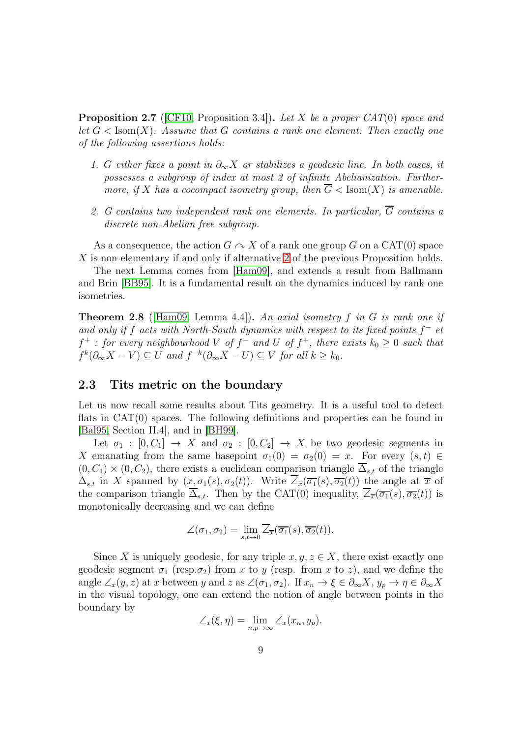<span id="page-8-2"></span>**Proposition 2.7** (CF10, Proposition 3.4)). Let X be a proper CAT(0) space and let  $G < Isom(X)$ . Assume that G contains a rank one element. Then exactly one of the following assertions holds:

- 1. G either fixes a point in  $\partial_{\infty} X$  or stabilizes a geodesic line. In both cases, it possesses a subgroup of index at most 2 of infinite Abelianization. Furthermore, if X has a cocompact isometry group, then  $\overline{G}$  < Isom(X) is amenable.
- <span id="page-8-1"></span>2. G contains two independent rank one elements. In particular,  $\overline{G}$  contains a discrete non-Abelian free subgroup.

As a consequence, the action  $G \curvearrowright X$  of a rank one group G on a CAT(0) space X is non-elementary if and only if alternative [2](#page-8-1) of the previous Proposition holds.

The next Lemma comes from [\[Ham09\]](#page-28-6), and extends a result from Ballmann and Brin [\[BB95\]](#page-26-2). It is a fundamental result on the dynamics induced by rank one isometries.

<span id="page-8-3"></span>**Theorem 2.8** (Ham09, Lemma 4.4)). An axial isometry f in G is rank one if and only if f acts with North-South dynamics with respect to its fixed points  $f^-$  et  $f^+$ : for every neighbourhood V of  $f^-$  and U of  $f^+$ , there exists  $k_0 \geq 0$  such that  $f^k(\partial_\infty X - V) \subseteq U$  and  $f^{-k}(\partial_\infty X - U) \subseteq V$  for all  $k \geq k_0$ .

#### <span id="page-8-0"></span>2.3 Tits metric on the boundary

Let us now recall some results about Tits geometry. It is a useful tool to detect flats in CAT(0) spaces. The following definitions and properties can be found in [\[Bal95,](#page-26-0) Section II.4], and in [\[BH99\]](#page-27-0).

Let  $\sigma_1 : [0, C_1] \to X$  and  $\sigma_2 : [0, C_2] \to X$  be two geodesic segments in X emanating from the same basepoint  $\sigma_1(0) = \sigma_2(0) = x$ . For every  $(s, t) \in$  $(0, C_1) \times (0, C_2)$ , there exists a euclidean comparison triangle  $\overline{\Delta}_{s,t}$  of the triangle  $\Delta_{s,t}$  in X spanned by  $(x, \sigma_1(s), \sigma_2(t))$ . Write  $\overline{\angle}_{\overline{x}}(\overline{\sigma_1}(s), \overline{\sigma_2}(t))$  the angle at  $\overline{x}$  of the comparison triangle  $\overline{\Delta}_{s,t}$ . Then by the CAT(0) inequality,  $\overline{\angle}_{\overline{x}}(\overline{\sigma_1}(s), \overline{\sigma_2}(t))$  is monotonically decreasing and we can define

$$
\angle(\sigma_1, \sigma_2) = \lim_{s, t \to 0} \overline{\angle}_{\overline{x}}(\overline{\sigma_1}(s), \overline{\sigma_2}(t)).
$$

Since X is uniquely geodesic, for any triple  $x, y, z \in X$ , there exist exactly one geodesic segment  $\sigma_1$  (resp. $\sigma_2$ ) from x to y (resp. from x to z), and we define the angle  $\angle_x(y, z)$  at x between y and z as  $\angle(\sigma_1, \sigma_2)$ . If  $x_n \to \xi \in \partial_\infty X$ ,  $y_p \to \eta \in \partial_\infty X$ in the visual topology, one can extend the notion of angle between points in the boundary by

$$
\angle_x(\xi,\eta) = \lim_{n,p \to \infty} \angle_x(x_n, y_p).
$$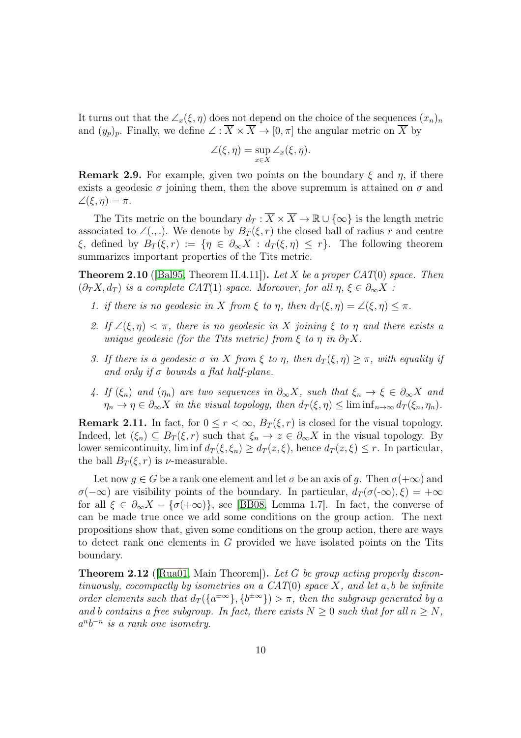It turns out that the  $\angle_x(\xi,\eta)$  does not depend on the choice of the sequences  $(x_n)_n$ and  $(y_p)_p$ . Finally, we define  $\angle : \overline{X} \times \overline{X} \to [0, \pi]$  the angular metric on  $\overline{X}$  by

$$
\angle(\xi,\eta)=\sup_{x\in X}\angle_x(\xi,\eta).
$$

**Remark 2.9.** For example, given two points on the boundary  $\xi$  and  $\eta$ , if there exists a geodesic  $\sigma$  joining them, then the above supremum is attained on  $\sigma$  and  $\angle(\xi, \eta) = \pi.$ 

The Tits metric on the boundary  $d_T : \overline{X} \times \overline{X} \to \mathbb{R} \cup {\infty}$  is the length metric associated to  $\angle (.,.)$ . We denote by  $B_T(\xi,r)$  the closed ball of radius r and centre  $\xi$ , defined by  $B_T(\xi,r) := \{\eta \in \partial_\infty X : d_T(\xi,\eta) \leq r\}.$  The following theorem summarizes important properties of the Tits metric.

<span id="page-9-0"></span>**Theorem 2.10** ([\[Bal95,](#page-26-0) Theorem II.4.11]). Let X be a proper CAT(0) space. Then  $(\partial_T X, d_T)$  is a complete CAT(1) space. Moreover, for all  $\eta, \xi \in \partial_{\infty} X$ :

- 1. if there is no geodesic in X from  $\xi$  to  $\eta$ , then  $d_T(\xi, \eta) = \angle(\xi, \eta) \leq \pi$ .
- 2. If  $\angle(\xi, \eta) < \pi$ , there is no geodesic in X joining  $\xi$  to  $\eta$  and there exists a unique geodesic (for the Tits metric) from  $\xi$  to  $\eta$  in  $\partial_T X$ .
- 3. If there is a geodesic  $\sigma$  in X from  $\xi$  to  $\eta$ , then  $d_T(\xi, \eta) \geq \pi$ , with equality if and only if  $\sigma$  bounds a flat half-plane.
- 4. If  $(\xi_n)$  and  $(\eta_n)$  are two sequences in  $\partial_\infty X$ , such that  $\xi_n \to \xi \in \partial_\infty X$  and  $\eta_n \to \eta \in \partial_\infty X$  in the visual topology, then  $d_T(\xi, \eta) \leq \liminf_{n \to \infty} d_T(\xi_n, \eta_n)$ .

**Remark 2.11.** In fact, for  $0 \leq r < \infty$ ,  $B_T(\xi, r)$  is closed for the visual topology. Indeed, let  $(\xi_n) \subseteq B_T(\xi, r)$  such that  $\xi_n \to z \in \partial_\infty X$  in the visual topology. By lower semicontinuity, lim inf  $d_T(\xi, \xi_n) \geq d_T(z, \xi)$ , hence  $d_T(z, \xi) \leq r$ . In particular, the ball  $B_T(\xi, r)$  is *ν*-measurable.

Let now  $g \in G$  be a rank one element and let  $\sigma$  be an axis of g. Then  $\sigma(+\infty)$  and  $\sigma(-\infty)$  are visibility points of the boundary. In particular,  $d_T(\sigma(-\infty), \xi) = +\infty$ for all  $\xi \in \partial_{\infty} X - \{\sigma(+\infty)\}\)$ , see [\[BB08,](#page-26-6) Lemma 1.7]. In fact, the converse of can be made true once we add some conditions on the group action. The next propositions show that, given some conditions on the group action, there are ways to detect rank one elements in G provided we have isolated points on the Tits boundary.

**Theorem 2.12** (Rua01, Main Theorem). Let G be group acting properly discontinuously, cocompactly by isometries on a  $CAT(0)$  space X, and let a, b be infinite order elements such that  $d_T(\{a^{\pm \infty}\}, \{b^{\pm \infty}\}) > \pi$ , then the subgroup generated by a and b contains a free subgroup. In fact, there exists  $N \geq 0$  such that for all  $n \geq N$ ,  $a^n b^{-n}$  is a rank one isometry.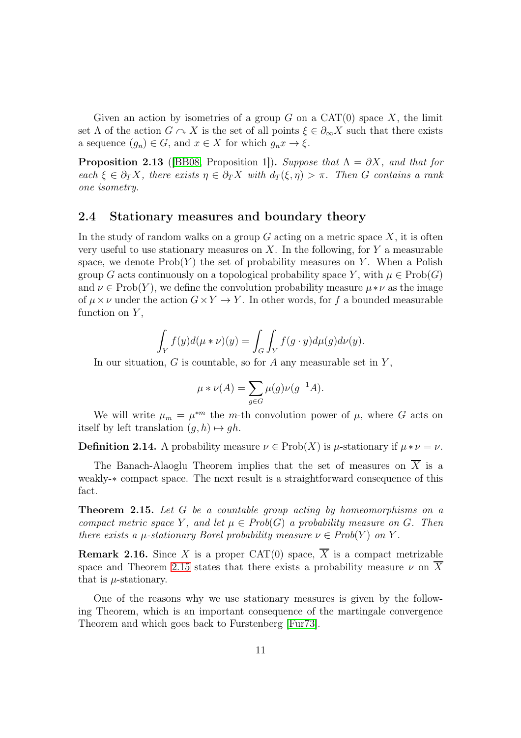Given an action by isometries of a group G on a  $CAT(0)$  space X, the limit set  $\Lambda$  of the action  $G \cap X$  is the set of all points  $\xi \in \partial_{\infty} X$  such that there exists a sequence  $(g_n) \in G$ , and  $x \in X$  for which  $g_n x \to \xi$ .

**Proposition 2.13** ([\[BB08,](#page-26-6) Proposition 1]). Suppose that  $\Lambda = \partial X$ , and that for each  $\xi \in \partial_T X$ , there exists  $\eta \in \partial_T X$  with  $d_T(\xi, \eta) > \pi$ . Then G contains a rank one isometry.

#### <span id="page-10-0"></span>2.4 Stationary measures and boundary theory

In the study of random walks on a group  $G$  acting on a metric space  $X$ , it is often very useful to use stationary measures on  $X$ . In the following, for  $Y$  a measurable space, we denote  $\text{Prob}(Y)$  the set of probability measures on Y. When a Polish group G acts continuously on a topological probability space Y, with  $\mu \in \text{Prob}(G)$ and  $\nu \in \text{Prob}(Y)$ , we define the convolution probability measure  $\mu * \nu$  as the image of  $\mu \times \nu$  under the action  $G \times Y \to Y$ . In other words, for f a bounded measurable function on  $Y$ ,

$$
\int_Y f(y)d(\mu * \nu)(y) = \int_G \int_Y f(g \cdot y)d\mu(g)d\nu(y).
$$

In our situation,  $G$  is countable, so for  $A$  any measurable set in  $Y$ ,

$$
\mu * \nu(A) = \sum_{g \in G} \mu(g) \nu(g^{-1}A).
$$

We will write  $\mu_m = \mu^{*m}$  the m-th convolution power of  $\mu$ , where G acts on itself by left translation  $(g, h) \mapsto gh$ .

**Definition 2.14.** A probability measure  $\nu \in \text{Prob}(X)$  is  $\mu$ -stationary if  $\mu * \nu = \nu$ .

The Banach-Alaoglu Theorem implies that the set of measures on  $\overline{X}$  is a weakly-∗ compact space. The next result is a straightforward consequence of this fact.

<span id="page-10-1"></span>Theorem 2.15. Let G be a countable group acting by homeomorphisms on a compact metric space Y, and let  $\mu \in Prob(G)$  a probability measure on G. Then there exists a  $\mu$ -stationary Borel probability measure  $\nu \in Prob(Y)$  on Y.

**Remark 2.16.** Since X is a proper CAT(0) space,  $\overline{X}$  is a compact metrizable space and Theorem [2.15](#page-10-1) states that there exists a probability measure  $\nu$  on  $\overline{X}$ that is  $\mu$ -stationary.

One of the reasons why we use stationary measures is given by the following Theorem, which is an important consequence of the martingale convergence Theorem and which goes back to Furstenberg [\[Fur73\]](#page-27-5).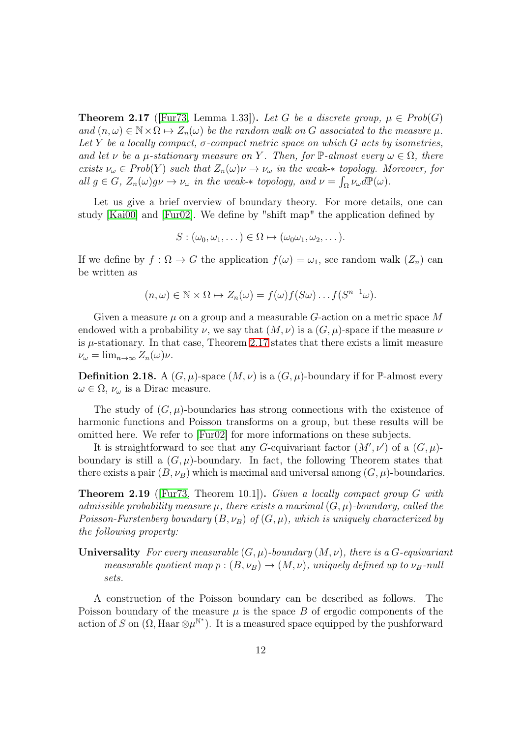<span id="page-11-0"></span>**Theorem 2.17** ([\[Fur73,](#page-27-5) Lemma 1.33]). Let G be a discrete group,  $\mu \in Prob(G)$ and  $(n, \omega) \in \mathbb{N} \times \Omega \mapsto Z_n(\omega)$  be the random walk on G associated to the measure  $\mu$ . Let Y be a locally compact,  $\sigma$ -compact metric space on which G acts by isometries, and let v be a  $\mu$ -stationary measure on Y. Then, for  $\mathbb{P}\text{-almost every } \omega \in \Omega$ , there exists  $\nu_\omega \in Prob(Y)$  such that  $Z_n(\omega)\nu \to \nu_\omega$  in the weak- $*$  topology. Moreover, for all  $g \in G$ ,  $Z_n(\omega)g\nu \to \nu_\omega$  in the weak-\* topology, and  $\nu = \int_{\Omega} \nu_\omega d\mathbb{P}(\omega)$ .

Let us give a brief overview of boundary theory. For more details, one can study [\[Kai00\]](#page-28-0) and [\[Fur02\]](#page-27-10). We define by "shift map" the application defined by

$$
S:(\omega_0,\omega_1,\dots)\in\Omega\mapsto(\omega_0\omega_1,\omega_2,\dots).
$$

If we define by  $f : \Omega \to G$  the application  $f(\omega) = \omega_1$ , see random walk  $(Z_n)$  can be written as

$$
(n,\omega) \in \mathbb{N} \times \Omega \mapsto Z_n(\omega) = f(\omega)f(S\omega) \dots f(S^{n-1}\omega).
$$

Given a measure  $\mu$  on a group and a measurable G-action on a metric space M endowed with a probability  $\nu$ , we say that  $(M, \nu)$  is a  $(G, \mu)$ -space if the measure  $\nu$ is  $\mu$ -stationary. In that case, Theorem [2.17](#page-11-0) states that there exists a limit measure  $\nu_{\omega} = \lim_{n \to \infty} Z_n(\omega) \nu.$ 

**Definition 2.18.** A  $(G, \mu)$ -space  $(M, \nu)$  is a  $(G, \mu)$ -boundary if for P-almost every  $\omega \in \Omega$ ,  $\nu_{\omega}$  is a Dirac measure.

The study of  $(G, \mu)$ -boundaries has strong connections with the existence of harmonic functions and Poisson transforms on a group, but these results will be omitted here. We refer to [\[Fur02\]](#page-27-10) for more informations on these subjects.

It is straightforward to see that any G-equivariant factor  $(M',\nu')$  of a  $(G,\mu)$ boundary is still a  $(G, \mu)$ -boundary. In fact, the following Theorem states that there exists a pair  $(B, \nu_B)$  which is maximal and universal among  $(G, \mu)$ -boundaries.

<span id="page-11-1"></span>**Theorem 2.19** (Fur<sub>73</sub>, Theorem 10.1). Given a locally compact group G with admissible probability measure  $\mu$ , there exists a maximal  $(G, \mu)$ -boundary, called the Poisson-Furstenberg boundary  $(B, \nu_B)$  of  $(G, \mu)$ , which is uniquely characterized by the following property:

Universality For every measurable  $(G, \mu)$ -boundary  $(M, \nu)$ , there is a G-equivariant measurable quotient map  $p:(B,\nu_B) \to (M,\nu)$ , uniquely defined up to  $\nu_B$ -null sets.

A construction of the Poisson boundary can be described as follows. The Poisson boundary of the measure  $\mu$  is the space B of ergodic components of the action of S on  $(\Omega, \text{Haar} \otimes \mu^{\mathbb{N}^*})$ . It is a measured space equipped by the pushforward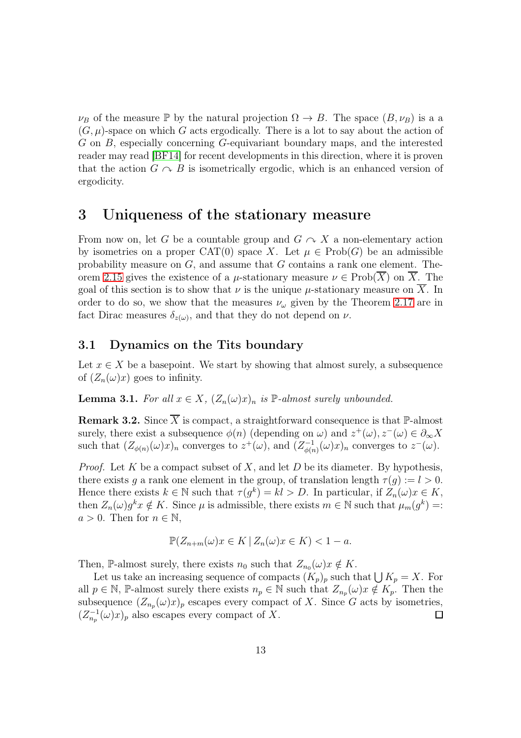$\nu_B$  of the measure P by the natural projection  $\Omega \to B$ . The space  $(B, \nu_B)$  is a a  $(G, \mu)$ -space on which G acts ergodically. There is a lot to say about the action of G on B, especially concerning G-equivariant boundary maps, and the interested reader may read [\[BF14\]](#page-26-7) for recent developments in this direction, where it is proven that the action  $G \cap B$  is isometrically ergodic, which is an enhanced version of ergodicity.

### <span id="page-12-0"></span>3 Uniqueness of the stationary measure

From now on, let G be a countable group and  $G \curvearrowright X$  a non-elementary action by isometries on a proper CAT(0) space X. Let  $\mu \in \text{Prob}(G)$  be an admissible probability measure on  $G$ , and assume that  $G$  contains a rank one element. The-orem [2.15](#page-10-1) gives the existence of a  $\mu$ -stationary measure  $\nu \in \mathrm{Prob}(X)$  on X. The goal of this section is to show that  $\nu$  is the unique  $\mu$ -stationary measure on X. In order to do so, we show that the measures  $\nu_{\omega}$  given by the Theorem [2.17](#page-11-0) are in fact Dirac measures  $\delta_{z(\omega)}$ , and that they do not depend on  $\nu$ .

#### 3.1 Dynamics on the Tits boundary

Let  $x \in X$  be a basepoint. We start by showing that almost surely, a subsequence of  $(Z_n(\omega)x)$  goes to infinity.

<span id="page-12-1"></span>**Lemma 3.1.** For all  $x \in X$ ,  $(Z_n(\omega)x)_n$  is  $\mathbb{P}\text{-almost surely unbounded.}$ 

<span id="page-12-2"></span>**Remark 3.2.** Since  $\overline{X}$  is compact, a straightforward consequence is that  $\mathbb{P}\text{-almost}$ surely, there exist a subsequence  $\phi(n)$  (depending on  $\omega$ ) and  $z^+(\omega)$ ,  $z^-(\omega) \in \partial_{\infty} X$ such that  $(Z_{\phi(n)}(\omega)x)_n$  converges to  $z^+(\omega)$ , and  $(Z_{\phi(n)}^{-1})$  $\psi_{\phi(n)}^{-1}(\omega)x)_n$  converges to  $z^-(\omega)$ .

*Proof.* Let K be a compact subset of X, and let D be its diameter. By hypothesis, there exists g a rank one element in the group, of translation length  $\tau(g) := l > 0$ . Hence there exists  $k \in \mathbb{N}$  such that  $\tau(g^k) = kl > D$ . In particular, if  $Z_n(\omega)x \in K$ , then  $Z_n(\omega)g^k x \notin K$ . Since  $\mu$  is admissible, there exists  $m \in \mathbb{N}$  such that  $\mu_m(g^k) =$ :  $a > 0$ . Then for  $n \in \mathbb{N}$ ,

$$
\mathbb{P}(Z_{n+m}(\omega)x \in K \mid Z_n(\omega)x \in K) < 1 - a.
$$

Then, P-almost surely, there exists  $n_0$  such that  $Z_{n_0}(\omega)x \notin K$ .

Let us take an increasing sequence of compacts  $(K_p)_p$  such that  $\bigcup K_p = X$ . For all  $p \in \mathbb{N}$ , P-almost surely there exists  $n_p \in \mathbb{N}$  such that  $Z_{n_p}(\omega)$   $\notin K_p$ . Then the subsequence  $(Z_{n_p}(\omega)x)_p$  escapes every compact of X. Since G acts by isometries,  $(Z_{n_p}^{-1}(\omega)x)_p$  also escapes every compact of X.  $\Box$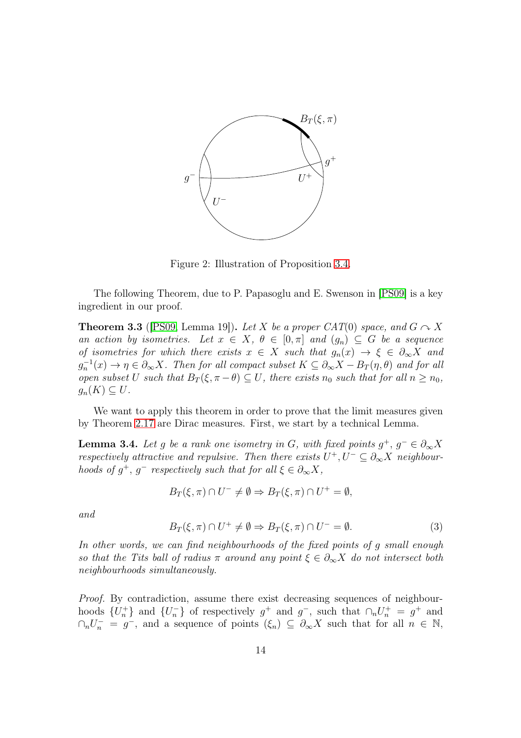

Figure 2: Illustration of Proposition [3.4.](#page-13-0)

The following Theorem, due to P. Papasoglu and E. Swenson in [\[PS09\]](#page-28-5) is a key ingredient in our proof.

<span id="page-13-1"></span>**Theorem 3.3** ([\[PS09,](#page-28-5) Lemma 19]). Let X be a proper CAT(0) space, and  $G \sim X$ an action by isometries. Let  $x \in X$ ,  $\theta \in [0, \pi]$  and  $(g_n) \subseteq G$  be a sequence of isometries for which there exists  $x \in X$  such that  $g_n(x) \to \xi \in \partial_{\infty} X$  and  $g_n^{-1}(x) \to \eta \in \partial_\infty X$ . Then for all compact subset  $K \subseteq \partial_\infty X - B_T(\eta, \theta)$  and for all open subset U such that  $B_T(\xi, \pi - \theta) \subseteq U$ , there exists  $n_0$  such that for all  $n \geq n_0$ ,  $g_n(K) \subseteq U$ .

We want to apply this theorem in order to prove that the limit measures given by Theorem [2.17](#page-11-0) are Dirac measures. First, we start by a technical Lemma.

<span id="page-13-0"></span>**Lemma 3.4.** Let g be a rank one isometry in G, with fixed points  $g^+$ ,  $g^- \in \partial_{\infty} X$ respectively attractive and repulsive. Then there exists  $U^+, U^- \subseteq \partial_{\infty} X$  neighbourhoods of  $g^+$ ,  $g^-$  respectively such that for all  $\xi \in \partial_{\infty} X$ ,

$$
B_T(\xi,\pi)\cap U^-\neq\emptyset\Rightarrow B_T(\xi,\pi)\cap U^+=\emptyset,
$$

and

$$
B_T(\xi, \pi) \cap U^+ \neq \emptyset \Rightarrow B_T(\xi, \pi) \cap U^- = \emptyset. \tag{3}
$$

In other words, we can find neighbourhoods of the fixed points of g small enough so that the Tits ball of radius  $\pi$  around any point  $\xi \in \partial_{\infty} X$  do not intersect both neighbourhoods simultaneously.

Proof. By contradiction, assume there exist decreasing sequences of neighbourhoods  $\{U_n^+\}$  and  $\{U_n^-\}$  of respectively  $g^+$  and  $g^-$ , such that  $\cap_n U_n^+ = g^+$  and  $\cap_n U_n^- = g^-$ , and a sequence of points  $(\xi_n) \subseteq \partial_\infty X$  such that for all  $n \in \mathbb{N}$ ,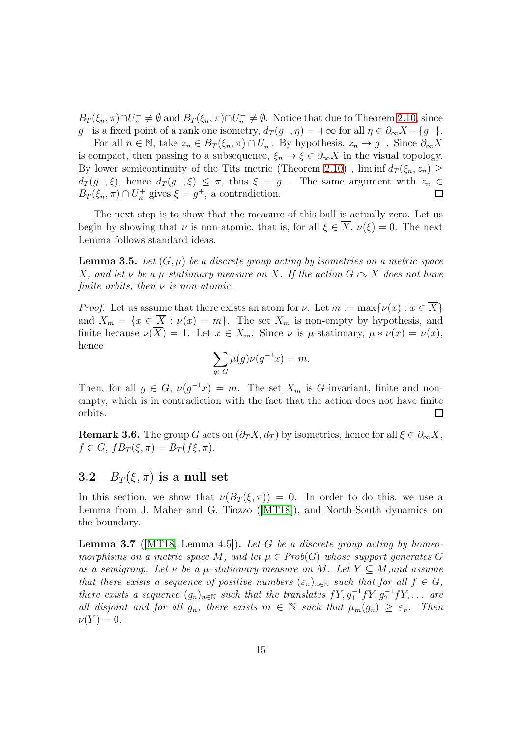$B_T(\xi_n, \pi) \cap U_n^- \neq \emptyset$  and  $B_T(\xi_n, \pi) \cap U_n^+ \neq \emptyset$ . Notice that due to Theorem [2.10,](#page-9-0) since g<sup>-</sup> is a fixed point of a rank one isometry,  $d_T(g^-,\eta) = +\infty$  for all  $\eta \in \partial_{\infty}X - \{g^-\}$ .

For all  $n \in \mathbb{N}$ , take  $z_n \in B_T(\xi_n, \pi) \cap U_n^-$ . By hypothesis,  $z_n \to g^-$ . Since  $\partial_{\infty} X$ is compact, then passing to a subsequence,  $\xi_n \to \xi \in \partial_{\infty} X$  in the visual topology. By lower semicontinuity of the Tits metric (Theorem [2.10\)](#page-9-0),  $\liminf d_T(\xi_n, z_n) \geq$  $d_T(g^-, \xi)$ , hence  $d_T(g^-, \xi) \leq \pi$ , thus  $\xi = g^-$ . The same argument with  $z_n \in$  $B_T(\xi_n, \pi) \cap U_n^+$  gives  $\xi = g^+$ , a contradiction.  $\Box$ 

The next step is to show that the measure of this ball is actually zero. Let us begin by showing that  $\nu$  is non-atomic, that is, for all  $\xi \in \overline{X}$ ,  $\nu(\xi) = 0$ . The next Lemma follows standard ideas.

<span id="page-14-2"></span>**Lemma 3.5.** Let  $(G, \mu)$  be a discrete group acting by isometries on a metric space X, and let  $\nu$  be a  $\mu$ -stationary measure on X. If the action  $G \curvearrowright X$  does not have finite orbits, then  $\nu$  is non-atomic.

*Proof.* Let us assume that there exists an atom for  $\nu$ . Let  $m := \max\{\nu(x) : x \in X\}$ and  $X_m = \{x \in \overline{X} : \nu(x) = m\}$ . The set  $X_m$  is non-empty by hypothesis, and finite because  $\nu(\overline{X}) = 1$ . Let  $x \in X_m$ . Since  $\nu$  is  $\mu$ -stationary,  $\mu * \nu(x) = \nu(x)$ , hence

$$
\sum_{g \in G} \mu(g)\nu(g^{-1}x) = m.
$$

Then, for all  $g \in G$ ,  $\nu(g^{-1}x) = m$ . The set  $X_m$  is G-invariant, finite and nonempty, which is in contradiction with the fact that the action does not have finite orbits.  $\Box$ 

<span id="page-14-1"></span>**Remark 3.6.** The group G acts on  $(\partial_T X, d_T)$  by isometries, hence for all  $\xi \in \partial_{\infty} X$ ,  $f \in G$ ,  $fB_T(\xi, \pi) = B_T(f\xi, \pi)$ .

### 3.2  $B_T(\xi, \pi)$  is a null set

In this section, we show that  $\nu(B_T(\xi, \pi)) = 0$ . In order to do this, we use a Lemma from J. Maher and G. Tiozzo ([\[MT18\]](#page-28-1)), and North-South dynamics on the boundary.

<span id="page-14-0"></span>**Lemma 3.7** (MT18, Lemma 4.5). Let G be a discrete group acting by homeomorphisms on a metric space M, and let  $\mu \in Prob(G)$  whose support generates G as a semigroup. Let  $\nu$  be a  $\mu$ -stationary measure on M. Let  $Y \subseteq M$ , and assume that there exists a sequence of positive numbers  $(\varepsilon_n)_{n\in\mathbb{N}}$  such that for all  $f \in G$ , there exists a sequence  $(g_n)_{n \in \mathbb{N}}$  such that the translates  $fY, g_1^{-1}fY, g_2^{-1}fY, \ldots$  are all disjoint and for all  $g_n$ , there exists  $m \in \mathbb{N}$  such that  $\mu_m(g_n) \geq \varepsilon_n$ . Then  $\nu(Y) = 0.$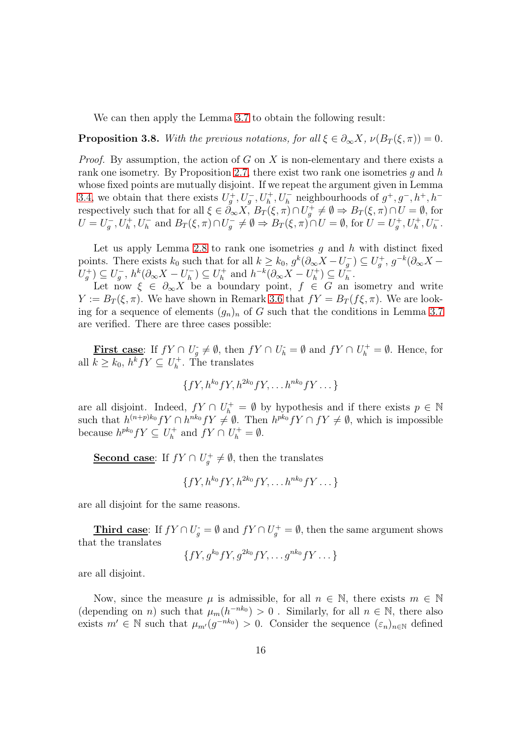We can then apply the Lemma [3.7](#page-14-0) to obtain the following result:

<span id="page-15-0"></span>**Proposition 3.8.** With the previous notations, for all  $\xi \in \partial_{\infty} X$ ,  $\nu(B_T(\xi, \pi)) = 0$ .

*Proof.* By assumption, the action of  $G$  on  $X$  is non-elementary and there exists a rank one isometry. By Proposition [2.7,](#page-8-2) there exist two rank one isometries q and  $h$ whose fixed points are mutually disjoint. If we repeat the argument given in Lemma [3.4,](#page-13-0) we obtain that there exists  $U_g^+, U_g^-, U_h^+, U_h^-$  neighbourhoods of  $g^+, g^-, h^+, h^$ respectively such that for all  $\xi \in \partial_{\infty} X$ ,  $B_T(\xi, \pi) \cap U_g^+ \neq \emptyset \Rightarrow B_T(\xi, \pi) \cap U = \emptyset$ , for  $U = U_g^-, U_h^+, U_h^-$  and  $B_T(\xi, \pi) \cap U_g^- \neq \emptyset \Rightarrow B_T(\xi, \pi) \cap U = \emptyset$ , for  $U = U_g^+, U_h^+, U_h^-$ .

Let us apply Lemma [2.8](#page-8-3) to rank one isometries  $g$  and  $h$  with distinct fixed points. There exists  $k_0$  such that for all  $k \geq k_0$ ,  $g^k(\partial_\infty X - U_g^-) \subseteq U_g^+$ ,  $g^{-k}(\partial_\infty X - U_g^-)$  $U_g^{\dagger}$ )  $\subseteq U_g^{\dagger}$ ,  $h^k(\partial_{\infty}X - U_h^{\dagger})$  $\binom{(-)}{h} \subseteq U_h^+$  $h_h^+$  and  $h^{-k}(\partial_\infty X - U_h^+)$  $\binom{+}{h} \subseteq U_h^ \frac{1}{h}$ .

Let now  $\xi \in \partial_{\infty} X$  be a boundary point,  $f \in G$  an isometry and write  $Y := B_T(\xi, \pi)$ . We have shown in Remark [3.6](#page-14-1) that  $fY = B_T(f\xi, \pi)$ . We are looking for a sequence of elements  $(g_n)_n$  of G such that the conditions in Lemma [3.7](#page-14-0) are verified. There are three cases possible:

First case: If  $fY \cap U_g \neq \emptyset$ , then  $fY \cap U_h = \emptyset$  and  $fY \cap U_h^+ = \emptyset$ . Hence, for all  $k \geq k_0$ ,  $h^k f Y \subseteq U_h^+$  $h<sup>+</sup>$ . The translates

$$
\{fY, h^{k_0}fY, h^{2k_0}fY, \ldots h^{nk_0}fY \ldots\}
$$

are all disjoint. Indeed,  $fY \cap U_h^+ = \emptyset$  by hypothesis and if there exists  $p \in \mathbb{N}$ such that  $h^{(n+p)k_0}fY \cap h^{nk_0}fY \neq \emptyset$ . Then  $h^{pk_0}fY \cap fY \neq \emptyset$ , which is impossible because  $h^{pk_0} fY \subseteq U_h^+$  $f_h^+$  and  $fY \cap U_h^+ = \emptyset$ .

Second case: If  $fY \cap U_g^+ \neq \emptyset$ , then the translates

$$
\{fY, h^{k_0}fY, h^{2k_0}fY, \ldots h^{nk_0}fY \ldots \}
$$

are all disjoint for the same reasons.

Third case: If  $fY \cap U_g^+ = \emptyset$  and  $fY \cap U_g^+ = \emptyset$ , then the same argument shows that the translates

$$
\{fY, g^{k_0}fY, g^{2k_0}fY, \ldots g^{nk_0}fY \ldots \}
$$

are all disjoint.

Now, since the measure  $\mu$  is admissible, for all  $n \in \mathbb{N}$ , there exists  $m \in \mathbb{N}$ (depending on *n*) such that  $\mu_m(h^{-nk_0}) > 0$ . Similarly, for all  $n \in \mathbb{N}$ , there also exists  $m' \in \mathbb{N}$  such that  $\mu_{m'}(g^{-nk_0}) > 0$ . Consider the sequence  $(\varepsilon_n)_{n \in \mathbb{N}}$  defined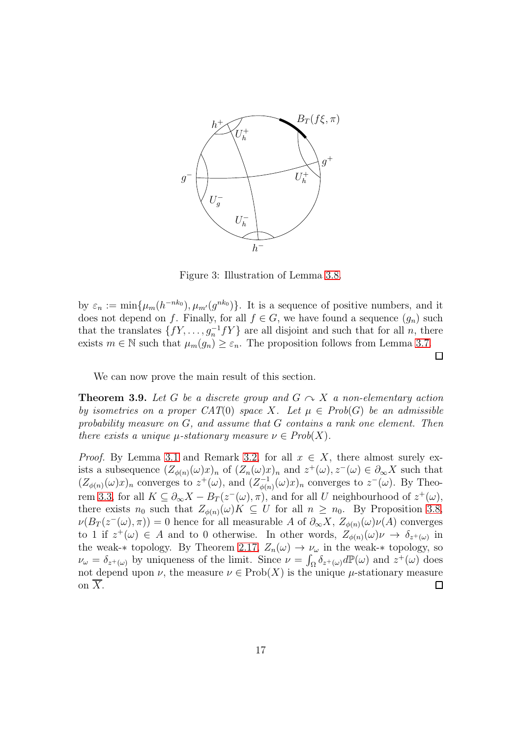

Figure 3: Illustration of Lemma [3.8.](#page-15-0)

by  $\varepsilon_n := \min\{\mu_m(h^{-nk_0}), \mu_{m'}(g^{nk_0})\}\.$  It is a sequence of positive numbers, and it does not depend on f. Finally, for all  $f \in G$ , we have found a sequence  $(g_n)$  such that the translates  $\{fY, \ldots, g_n^{-1}fY\}$  are all disjoint and such that for all n, there exists  $m \in \mathbb{N}$  such that  $\mu_m(g_n) \geq \varepsilon_n$ . The proposition follows from Lemma [3.7.](#page-14-0)

 $\Box$ 

We can now prove the main result of this section.

<span id="page-16-0"></span>**Theorem 3.9.** Let G be a discrete group and  $G \sim X$  a non-elementary action by isometries on a proper  $CAT(0)$  space X. Let  $\mu \in Prob(G)$  be an admissible probability measure on G, and assume that G contains a rank one element. Then there exists a unique  $\mu$ -stationary measure  $\nu \in Prob(X)$ .

*Proof.* By Lemma [3.1](#page-12-1) and Remark [3.2,](#page-12-2) for all  $x \in X$ , there almost surely exists a subsequence  $(Z_{\phi(n)}(\omega)x)_n$  of  $(Z_n(\omega)x)_n$  and  $z^+(\omega), z^-(\omega) \in \partial_{\infty} X$  such that  $(Z_{\phi(n)}(\omega)x)_n$  converges to  $z^+(\omega)$ , and  $(Z_{\phi(n)}^{-1})$  $\psi_{\phi(n)}^{-1}(\omega)x)_n$  converges to  $z^-(\omega)$ . By Theo-rem [3.3,](#page-13-1) for all  $K \subseteq \partial_{\infty} X - B_T(z^-(\omega), \pi)$ , and for all U neighbourhood of  $z^+(\omega)$ , there exists  $n_0$  such that  $Z_{\phi(n)}(\omega)K \subseteq U$  for all  $n \geq n_0$ . By Proposition [3.8,](#page-15-0)  $\nu(B_T(z^-(\omega),\pi))=0$  hence for all measurable A of  $\partial_{\infty}X$ ,  $Z_{\phi(n)}(\omega)\nu(A)$  converges to 1 if  $z^+(\omega) \in A$  and to 0 otherwise. In other words,  $Z_{\phi(n)}(\omega) \nu \to \delta_{z^+(\omega)}$  in the weak- $*$  topology. By Theorem [2.17,](#page-11-0)  $Z_n(\omega) \to \nu_\omega$  in the weak- $*$  topology, so  $\nu_{\omega} = \delta_{z^+(\omega)}$  by uniqueness of the limit. Since  $\nu = \int_{\Omega} \delta_{z^+(\omega)} d\mathbb{P}(\omega)$  and  $z^+(\omega)$  does not depend upon  $\nu$ , the measure  $\nu \in \text{Prob}(X)$  is the unique  $\mu$ -stationary measure on  $\overline{X}$ .  $\Box$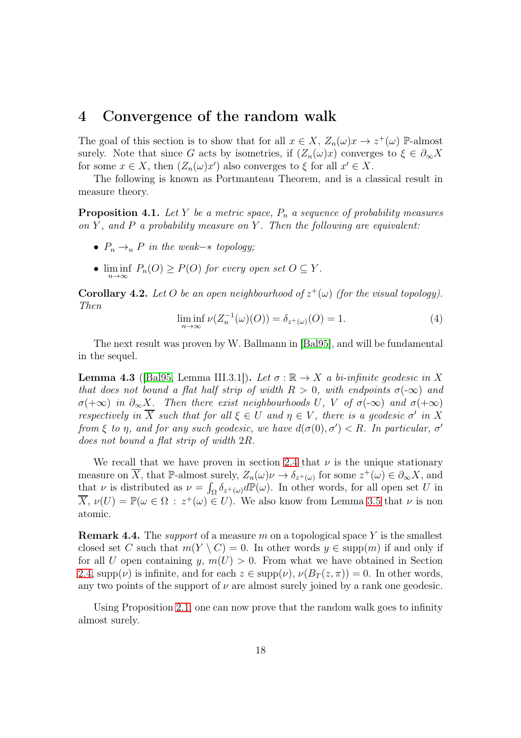### <span id="page-17-0"></span>4 Convergence of the random walk

The goal of this section is to show that for all  $x \in X$ ,  $Z_n(\omega)x \to z^+(\omega)$  P-almost surely. Note that since G acts by isometries, if  $(Z_n(\omega)x)$  converges to  $\xi \in \partial_{\infty} X$ for some  $x \in X$ , then  $(Z_n(\omega)x')$  also converges to  $\xi$  for all  $x' \in X$ .

The following is known as Portmanteau Theorem, and is a classical result in measure theory.

**Proposition 4.1.** Let Y be a metric space,  $P_n$  a sequence of probability measures on Y, and P a probability measure on Y. Then the following are equivalent:

- $P_n \rightarrow_n P$  in the weak– $*$  topology;
- $\liminf_{n\to\infty} P_n(O) \ge P(O)$  for every open set  $O \subseteq Y$ .

<span id="page-17-2"></span>**Corollary 4.2.** Let O be an open neighbourhood of  $z^+(\omega)$  (for the visual topology). Then

$$
\liminf_{n \to \infty} \nu(Z_n^{-1}(\omega)(O)) = \delta_{z^+(\omega)}(O) = 1.
$$
\n(4)

The next result was proven by W. Ballmann in [\[Bal95\]](#page-26-0), and will be fundamental in the sequel.

<span id="page-17-3"></span>**Lemma 4.3** ([\[Bal95,](#page-26-0) Lemma III.3.1]). Let  $\sigma : \mathbb{R} \to X$  a bi-infinite geodesic in X that does not bound a flat half strip of width  $R > 0$ , with endpoints  $\sigma(-\infty)$  and  $\sigma(+\infty)$  in  $\partial_{\infty}X$ . Then there exist neighbourhoods U, V of  $\sigma(-\infty)$  and  $\sigma(+\infty)$ respectively in  $\overline{X}$  such that for all  $\xi \in U$  and  $\eta \in V$ , there is a geodesic  $\sigma'$  in X from  $\xi$  to  $\eta$ , and for any such geodesic, we have  $d(\sigma(0), \sigma') < R$ . In particular,  $\sigma'$ does not bound a flat strip of width 2R.

We recall that we have proven in section [2.4](#page-10-0) that  $\nu$  is the unique stationary measure on  $\overline{X}$ , that P-almost surely,  $Z_n(\omega)\nu \to \delta_{z^+(\omega)}$  for some  $z^+(\omega) \in \partial_{\infty} X$ , and that  $\nu$  is distributed as  $\nu = \int_{\Omega} \delta_{z^+(\omega)} d\mathbb{P}(\omega)$ . In other words, for all open set U in  $\overline{X}, \nu(U) = \mathbb{P}(\omega \in \Omega : z^+(\omega) \in U)$ . We also know from Lemma [3.5](#page-14-2) that  $\nu$  is non atomic.

<span id="page-17-1"></span>**Remark 4.4.** The *support* of a measure m on a topological space Y is the smallest closed set C such that  $m(Y \setminus C) = 0$ . In other words  $y \in \text{supp}(m)$  if and only if for all U open containing  $y, m(U) > 0$ . From what we have obtained in Section [2.4,](#page-10-0) supp $(\nu)$  is infinite, and for each  $z \in \text{supp}(\nu)$ ,  $\nu(B_T(z, \pi)) = 0$ . In other words, any two points of the support of  $\nu$  are almost surely joined by a rank one geodesic.

Using Proposition [2.1,](#page-6-0) one can now prove that the random walk goes to infinity almost surely.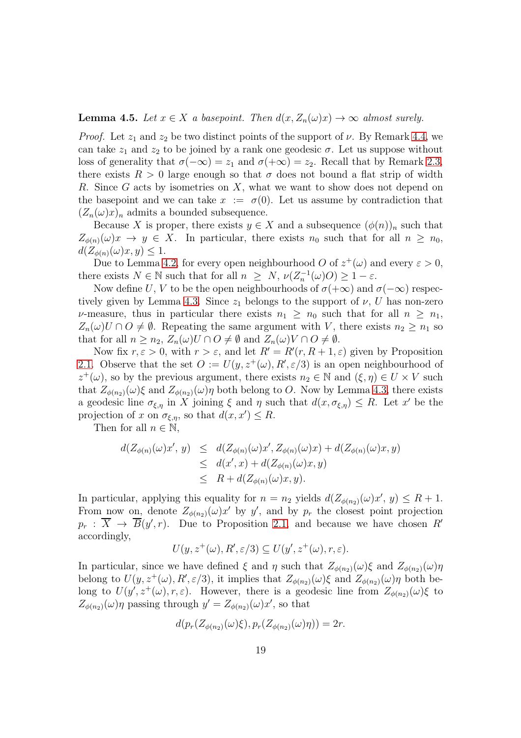#### <span id="page-18-1"></span>**Lemma 4.5.** Let  $x \in X$  a basepoint. Then  $d(x, Z_n(\omega)x) \to \infty$  almost surely.

*Proof.* Let  $z_1$  and  $z_2$  be two distinct points of the support of  $\nu$ . By Remark [4.4,](#page-17-1) we can take  $z_1$  and  $z_2$  to be joined by a rank one geodesic  $\sigma$ . Let us suppose without loss of generality that  $\sigma(-\infty) = z_1$  and  $\sigma(+\infty) = z_2$ . Recall that by Remark [2.3,](#page-7-1) there exists  $R > 0$  large enough so that  $\sigma$  does not bound a flat strip of width R. Since G acts by isometries on X, what we want to show does not depend on the basepoint and we can take  $x := \sigma(0)$ . Let us assume by contradiction that  $(Z_n(\omega)x)_n$  admits a bounded subsequence.

Because X is proper, there exists  $y \in X$  and a subsequence  $(\phi(n))_n$  such that  $Z_{\phi(n)}(\omega)x \to y \in X$ . In particular, there exists  $n_0$  such that for all  $n \geq n_0$ ,  $d(Z_{\phi(n)}(\omega)x, y) \leq 1.$ 

Due to Lemma [4.2,](#page-17-2) for every open neighbourhood O of  $z^+(\omega)$  and every  $\varepsilon > 0$ , there exists  $N \in \mathbb{N}$  such that for all  $n \geq N$ ,  $\nu(Z_n^{-1}(\omega)O) \geq 1 - \varepsilon$ .

Now define U, V to be the open neighbourhoods of  $\sigma(+\infty)$  and  $\sigma(-\infty)$  respec-tively given by Lemma [4.3.](#page-17-3) Since  $z_1$  belongs to the support of  $\nu$ , U has non-zero v-measure, thus in particular there exists  $n_1 \geq n_0$  such that for all  $n \geq n_1$ ,  $Z_n(\omega)U \cap O \neq \emptyset$ . Repeating the same argument with V, there exists  $n_2 \geq n_1$  so that for all  $n \geq n_2$ ,  $Z_n(\omega)U \cap O \neq \emptyset$  and  $Z_n(\omega)V \cap O \neq \emptyset$ .

Now fix  $r, \varepsilon > 0$ , with  $r > \varepsilon$ , and let  $R' = R'(r, R + 1, \varepsilon)$  given by Proposition [2.1.](#page-6-0) Observe that the set  $O := U(y, z^+(\omega), R', \varepsilon/3)$  is an open neighbourhood of  $z^+(\omega)$ , so by the previous argument, there exists  $n_2 \in \mathbb{N}$  and  $(\xi, \eta) \in U \times V$  such that  $Z_{\phi(n_2)}(\omega)\xi$  and  $Z_{\phi(n_2)}(\omega)\eta$  both belong to O. Now by Lemma [4.3,](#page-17-3) there exists a geodesic line  $\sigma_{\xi,\eta}$  in X joining  $\xi$  and  $\eta$  such that  $d(x, \sigma_{\xi,\eta}) \leq R$ . Let x' be the projection of x on  $\sigma_{\xi,\eta}$ , so that  $d(x, x') \leq R$ .

Then for all  $n \in \mathbb{N}$ ,

<span id="page-18-0"></span>
$$
d(Z_{\phi(n)}(\omega)x', y) \leq d(Z_{\phi(n)}(\omega)x', Z_{\phi(n)}(\omega)x) + d(Z_{\phi(n)}(\omega)x, y)
$$
  
\n
$$
\leq d(x', x) + d(Z_{\phi(n)}(\omega)x, y)
$$
  
\n
$$
\leq R + d(Z_{\phi(n)}(\omega)x, y).
$$

In particular, applying this equality for  $n = n_2$  yields  $d(Z_{\phi(n_2)}(\omega)x', y) \leq R + 1$ . From now on, denote  $Z_{\phi(n_2)}(\omega)x'$  by y', and by  $p_r$  the closest point projection  $p_r$ :  $\overline{X}$   $\rightarrow$   $\overline{B}(y', r)$ . Due to Proposition [2.1,](#page-6-0) and because we have chosen R' accordingly,

$$
U(y, z^+(\omega), R', \varepsilon/3) \subseteq U(y', z^+(\omega), r, \varepsilon).
$$

In particular, since we have defined  $\xi$  and  $\eta$  such that  $Z_{\phi(n_2)}(\omega)\xi$  and  $Z_{\phi(n_2)}(\omega)\eta$ belong to  $U(y, z^+(\omega), R', \varepsilon/3)$ , it implies that  $Z_{\phi(n_2)}(\omega)\xi$  and  $Z_{\phi(n_2)}(\omega)\eta$  both belong to  $U(y', z^+(\omega), r, \varepsilon)$ . However, there is a geodesic line from  $Z_{\phi(n_2)}(\omega)$  to  $Z_{\phi(n_2)}(\omega)\eta$  passing through  $y' = Z_{\phi(n_2)}(\omega)x'$ , so that

$$
d(p_r(Z_{\phi(n_2)}(\omega)\xi), p_r(Z_{\phi(n_2)}(\omega)\eta)) = 2r.
$$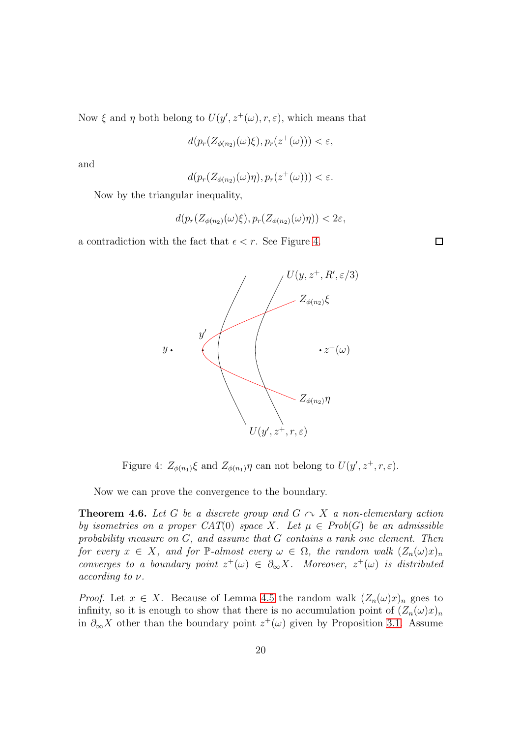Now  $\xi$  and  $\eta$  both belong to  $U(y', z^+(\omega), r, \varepsilon)$ , which means that

$$
d(p_r(Z_{\phi(n_2)}(\omega)\xi), p_r(z^+(\omega))) < \varepsilon,
$$

and

$$
d(p_r(Z_{\phi(n_2)}(\omega)\eta), p_r(z^+(\omega))) < \varepsilon.
$$

Now by the triangular inequality,

$$
d(p_r(Z_{\phi(n_2)}(\omega)\xi), p_r(Z_{\phi(n_2)}(\omega)\eta)) < 2\varepsilon,
$$

a contradiction with the fact that  $\epsilon < r$ . See Figure [4.](#page-18-0)



Figure 4:  $Z_{\phi(n_1)}\xi$  and  $Z_{\phi(n_1)}\eta$  can not belong to  $U(y', z^+, r, \varepsilon)$ .

Now we can prove the convergence to the boundary.

<span id="page-19-0"></span>**Theorem 4.6.** Let G be a discrete group and  $G \sim X$  a non-elementary action by isometries on a proper CAT(0) space X. Let  $\mu \in Prob(G)$  be an admissible probability measure on G, and assume that G contains a rank one element. Then for every  $x \in X$ , and for P-almost every  $\omega \in \Omega$ , the random walk  $(Z_n(\omega)x)_n$ converges to a boundary point  $z^+(\omega) \in \partial_\infty X$ . Moreover,  $z^+(\omega)$  is distributed according to  $\nu$ .

*Proof.* Let  $x \in X$ . Because of Lemma [4.5](#page-18-1) the random walk  $(Z_n(\omega)x)_n$  goes to infinity, so it is enough to show that there is no accumulation point of  $(Z_n(\omega)x)_n$ in  $\partial_{\infty} X$  other than the boundary point  $z^+(\omega)$  given by Proposition [3.1.](#page-12-1) Assume

 $\Box$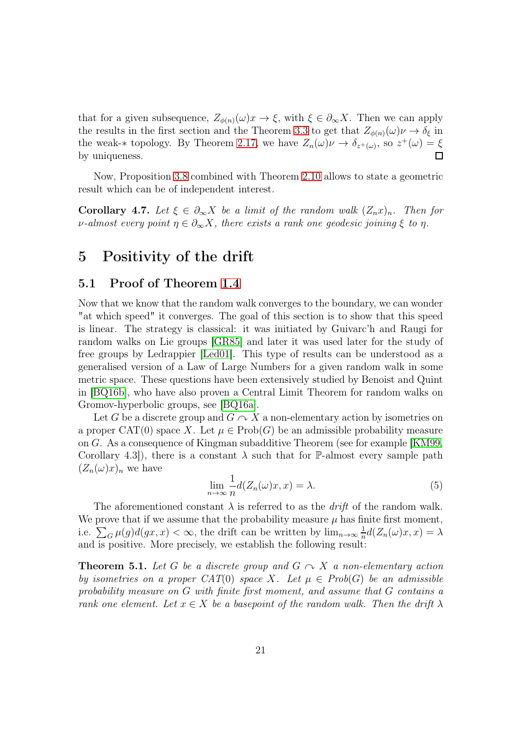that for a given subsequence,  $Z_{\phi(n)}(\omega)x \to \xi$ , with  $\xi \in \partial_{\infty}X$ . Then we can apply the results in the first section and the Theorem [3.3](#page-13-1) to get that  $Z_{\phi(n)}(\omega)\nu \to \delta_{\xi}$  in the weak-\* topology. By Theorem [2.17,](#page-11-0) we have  $Z_n(\omega)\nu \to \delta_{z^+(\omega)}$ , so  $z^+(\omega) = \xi$ by uniqueness. П

Now, Proposition [3.8](#page-15-0) combined with Theorem [2.10](#page-9-0) allows to state a geometric result which can be of independent interest.

<span id="page-20-2"></span>Corollary 4.7. Let  $\xi \in \partial_{\infty} X$  be a limit of the random walk  $(Z_n x)_n$ . Then for v-almost every point  $\eta \in \partial_{\infty} X$ , there exists a rank one geodesic joining  $\xi$  to  $\eta$ .

## <span id="page-20-0"></span>5 Positivity of the drift

### 5.1 Proof of Theorem [1.4](#page-3-0)

Now that we know that the random walk converges to the boundary, we can wonder "at which speed" it converges. The goal of this section is to show that this speed is linear. The strategy is classical: it was initiated by Guivarc'h and Raugi for random walks on Lie groups [\[GR85\]](#page-27-7) and later it was used later for the study of free groups by Ledrappier [\[Led01\]](#page-28-8). This type of results can be understood as a generalised version of a Law of Large Numbers for a given random walk in some metric space. These questions have been extensively studied by Benoist and Quint in [\[BQ16b\]](#page-27-9), who have also proven a Central Limit Theorem for random walks on Gromov-hyperbolic groups, see [\[BQ16a\]](#page-27-8).

Let G be a discrete group and  $G \curvearrowright X$  a non-elementary action by isometries on a proper CAT(0) space X. Let  $\mu \in \text{Prob}(G)$  be an admissible probability measure on G. As a consequence of Kingman subadditive Theorem (see for example [\[KM99,](#page-28-3) Corollary 4.3]), there is a constant  $\lambda$  such that for P-almost every sample path  $(Z_n(\omega)x)_n$  we have

$$
\lim_{n \to \infty} \frac{1}{n} d(Z_n(\omega)x, x) = \lambda.
$$
\n(5)

The aforementioned constant  $\lambda$  is referred to as the *drift* of the random walk. We prove that if we assume that the probability measure  $\mu$  has finite first moment, i.e.  $\sum_G \mu(g)d(gx, x) < \infty$ , the drift can be written by  $\lim_{n\to\infty} \frac{1}{n}$  $\frac{1}{n}d(Z_n(\omega)x,x)=\lambda$ and is positive. More precisely, we establish the following result:

<span id="page-20-1"></span>**Theorem 5.1.** Let G be a discrete group and  $G \sim X$  a non-elementary action by isometries on a proper CAT(0) space X. Let  $\mu \in Prob(G)$  be an admissible probability measure on G with finite first moment, and assume that G contains a rank one element. Let  $x \in X$  be a basepoint of the random walk. Then the drift  $\lambda$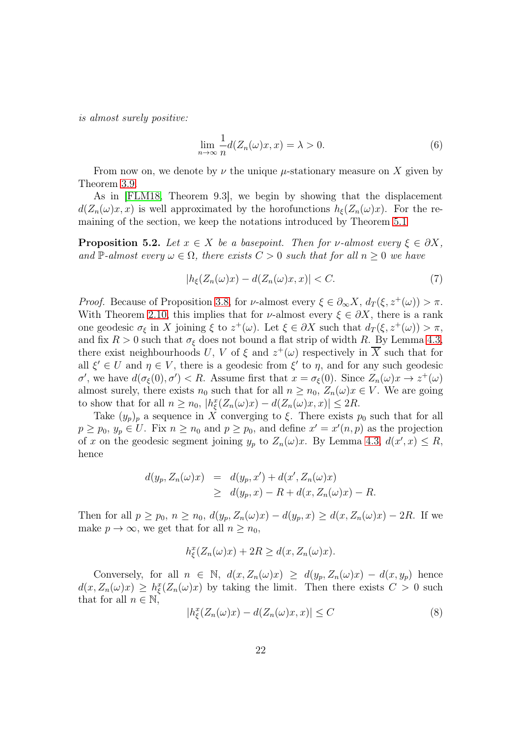is almost surely positive:

$$
\lim_{n \to \infty} \frac{1}{n} d(Z_n(\omega)x, x) = \lambda > 0.
$$
\n(6)

From now on, we denote by  $\nu$  the unique  $\mu$ -stationary measure on X given by Theorem [3.9.](#page-16-0)

As in [\[FLM18,](#page-27-6) Theorem 9.3], we begin by showing that the displacement  $d(Z_n(\omega)x, x)$  is well approximated by the horofunctions  $h_{\xi}(Z_n(\omega)x)$ . For the remaining of the section, we keep the notations introduced by Theorem [5.1](#page-20-1)

**Proposition 5.2.** Let  $x \in X$  be a basepoint. Then for v-almost every  $\xi \in \partial X$ , and P-almost every  $\omega \in \Omega$ , there exists  $C > 0$  such that for all  $n \geq 0$  we have

$$
|h_{\xi}(Z_n(\omega)x) - d(Z_n(\omega)x, x)| < C. \tag{7}
$$

Proof. Because of Proposition [3.8,](#page-15-0) for *ν*-almost every  $\xi \in \partial_{\infty} X$ ,  $d_T(\xi, z^+(\omega)) > \pi$ . With Theorem [2.10,](#page-9-0) this implies that for  $\nu$ -almost every  $\xi \in \partial X$ , there is a rank one geodesic  $\sigma_{\xi}$  in X joining  $\xi$  to  $z^+(\omega)$ . Let  $\xi \in \partial X$  such that  $d_T(\xi, z^+(\omega)) > \pi$ , and fix  $R > 0$  such that  $\sigma_{\xi}$  does not bound a flat strip of width R. By Lemma [4.3,](#page-17-3) there exist neighbourhoods U, V of  $\xi$  and  $z^+(\omega)$  respectively in  $\overline{X}$  such that for all  $\xi' \in U$  and  $\eta \in V$ , there is a geodesic from  $\xi'$  to  $\eta$ , and for any such geodesic σ', we have  $d(\sigma_{\xi}(0), \sigma') < R$ . Assume first that  $x = \sigma_{\xi}(0)$ . Since  $Z_n(\omega)x \to z^+(\omega)$ almost surely, there exists  $n_0$  such that for all  $n \geq n_0$ ,  $Z_n(\omega)x \in V$ . We are going to show that for all  $n \ge n_0$ ,  $|h_{\xi}^x(Z_n(\omega)x) - d(Z_n(\omega)x, x)| \le 2R$ .

Take  $(y_p)_p$  a sequence in X converging to  $\xi$ . There exists  $p_0$  such that for all  $p \geq p_0, y_p \in U$ . Fix  $n \geq n_0$  and  $p \geq p_0$ , and define  $x' = x'(n, p)$  as the projection of x on the geodesic segment joining  $y_p$  to  $Z_n(\omega)x$ . By Lemma [4.3,](#page-17-3)  $d(x', x) \leq R$ , hence

$$
d(y_p, Z_n(\omega)x) = d(y_p, x') + d(x', Z_n(\omega)x)
$$
  
\n
$$
\geq d(y_p, x) - R + d(x, Z_n(\omega)x) - R.
$$

Then for all  $p \ge p_0$ ,  $n \ge n_0$ ,  $d(y_p, Z_n(\omega)x) - d(y_p, x) \ge d(x, Z_n(\omega)x) - 2R$ . If we make  $p \to \infty$ , we get that for all  $n \geq n_0$ ,

$$
h_{\xi}^{x}(Z_{n}(\omega)x) + 2R \geq d(x, Z_{n}(\omega)x).
$$

Conversely, for all  $n \in \mathbb{N}$ ,  $d(x, Z_n(\omega)x) \geq d(y_p, Z_n(\omega)x) - d(x, y_p)$  hence  $d(x, Z_n(\omega)x) \geq h_{\xi}^x(Z_n(\omega)x)$  by taking the limit. Then there exists  $C > 0$  such that for all  $n \in \mathbb{N}$ ,

<span id="page-21-0"></span>
$$
|h_{\xi}^{x}(Z_{n}(\omega)x) - d(Z_{n}(\omega)x, x)| \leq C
$$
\n(8)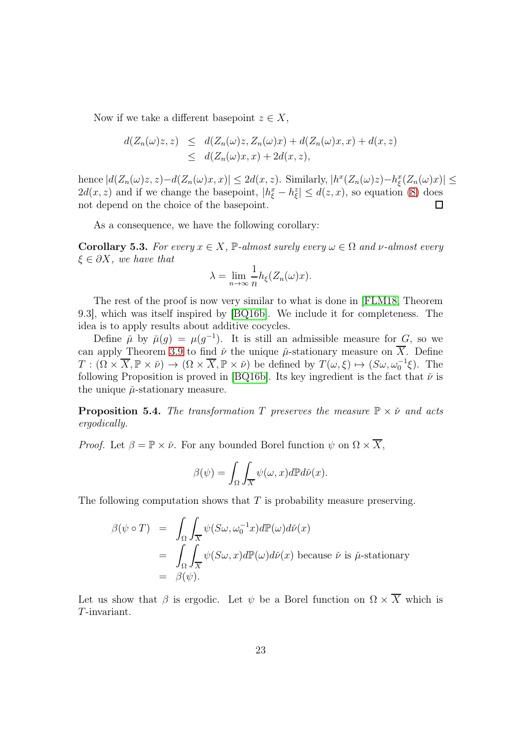Now if we take a different basepoint  $z \in X$ ,

$$
d(Z_n(\omega)z, z) \leq d(Z_n(\omega)z, Z_n(\omega)x) + d(Z_n(\omega)x, x) + d(x, z)
$$
  
 
$$
\leq d(Z_n(\omega)x, x) + 2d(x, z),
$$

hence  $|d(Z_n(\omega)z, z) - d(Z_n(\omega)x, x)| \leq 2d(x, z)$ . Similarly,  $|h^x(Z_n(\omega)z) - h^x_{\xi}(Z_n(\omega)x)| \leq$  $2d(x, z)$  and if we change the basepoint,  $|h_{\xi}^x - h_{\xi}^z| \leq d(z, x)$ , so equation [\(8\)](#page-21-0) does not depend on the choice of the basepoint.  $\Box$ 

As a consequence, we have the following corollary:

<span id="page-22-0"></span>Corollary 5.3. For every  $x \in X$ , P-almost surely every  $\omega \in \Omega$  and  $\nu$ -almost every  $\xi \in \partial X$ , we have that

$$
\lambda = \lim_{n \to \infty} \frac{1}{n} h_{\xi}(Z_n(\omega)x).
$$

The rest of the proof is now very similar to what is done in [\[FLM18,](#page-27-6) Theorem 9.3], which was itself inspired by [\[BQ16b\]](#page-27-9). We include it for completeness. The idea is to apply results about additive cocycles.

Define  $\mu$  by  $\mu(g) = \mu(g^{-1})$ . It is still an admissible measure for G, so we can apply Theorem [3.9](#page-16-0) to find  $\nu$  the unique  $\mu$ -stationary measure on  $\overline{X}$ . Define  $T: (\Omega \times \overline{X}, \mathbb{P} \times \check{\nu}) \to (\Omega \times \overline{X}, \mathbb{P} \times \check{\nu})$  be defined by  $T(\omega, \xi) \mapsto (S\omega, \omega_0^{-1}\xi)$ . The following Proposition is proved in [\[BQ16b\]](#page-27-9). Its key ingredient is the fact that  $\check{\nu}$  is the unique  $\mu$ -stationary measure.

<span id="page-22-1"></span>**Proposition 5.4.** The transformation T preserves the measure  $\mathbb{P} \times \check{\nu}$  and acts ergodically.

*Proof.* Let  $\beta = \mathbb{P} \times \check{\nu}$ . For any bounded Borel function  $\psi$  on  $\Omega \times \overline{X}$ ,

$$
\beta(\psi) = \int_{\Omega} \int_{\overline{X}} \psi(\omega, x) d\mathbb{P} d\check{\nu}(x).
$$

The following computation shows that  $T$  is probability measure preserving.

$$
\beta(\psi \circ T) = \int_{\Omega} \int_{\overline{X}} \psi(S\omega, \omega_0^{-1}x) d\mathbb{P}(\omega) d\check{\nu}(x)
$$
  
= 
$$
\int_{\Omega} \int_{\overline{X}} \psi(S\omega, x) d\mathbb{P}(\omega) d\check{\nu}(x)
$$
 because  $\check{\nu}$  is  $\check{\mu}$ -stationary  
=  $\beta(\psi)$ .

Let us show that  $\beta$  is ergodic. Let  $\psi$  be a Borel function on  $\Omega \times \overline{X}$  which is T-invariant.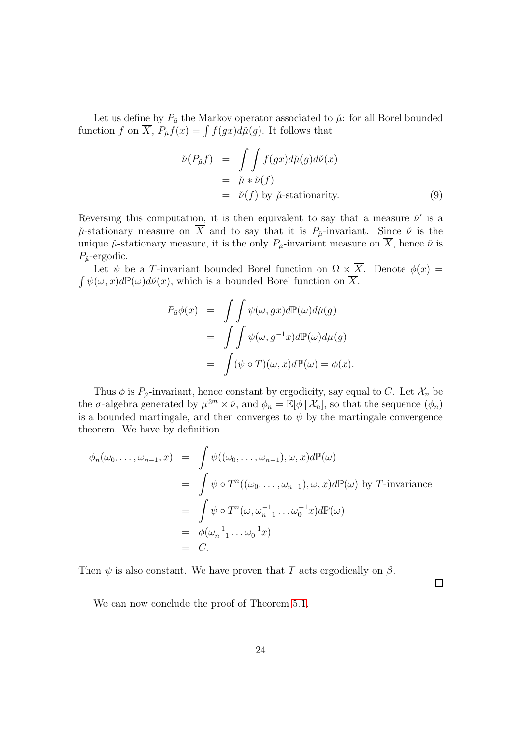Let us define by  $P_{\mu}$  the Markov operator associated to  $\mu$ : for all Borel bounded function f on  $\overline{X}$ ,  $P_{\mu}f(x) = \int f(gx)d\mu(g)$ . It follows that

$$
\begin{aligned}\n\check{\nu}(P_{\check{\mu}}f) &= \iint f(gx)d\check{\mu}(g)d\check{\nu}(x) \\
&= \check{\mu} * \check{\nu}(f) \\
&= \check{\nu}(f) \text{ by } \check{\mu}\text{-stationarity.}\n\end{aligned} \tag{9}
$$

Reversing this computation, it is then equivalent to say that a measure  $\check{\nu}'$  is a  $\mu$ -stationary measure on  $\overline{X}$  and to say that it is  $P_{\mu}$ -invariant. Since  $\nu$  is the unique  $\mu$ -stationary measure, it is the only  $P_{\mu}$ -invariant measure on X, hence  $\nu$  is  $P_{\mu}$ -ergodic.

Let  $\psi$  be a T-invariant bounded Borel function on  $\Omega \times \overline{X}$ . Denote  $\phi(x)$  =  $\int \psi(\omega, x) d\mathbb{P}(\omega) d\check{\nu}(x)$ , which is a bounded Borel function on  $\overline{X}$ .

$$
P_{\tilde{\mu}}\phi(x) = \int \int \psi(\omega, gx) d\mathbb{P}(\omega) d\tilde{\mu}(g)
$$
  
= 
$$
\int \int \psi(\omega, g^{-1}x) d\mathbb{P}(\omega) d\mu(g)
$$
  
= 
$$
\int (\psi \circ T)(\omega, x) d\mathbb{P}(\omega) = \phi(x).
$$

Thus  $\phi$  is  $P_{\mu}$ -invariant, hence constant by ergodicity, say equal to C. Let  $\mathcal{X}_n$  be the  $\sigma$ -algebra generated by  $\mu^{\otimes n} \times \check{\nu}$ , and  $\phi_n = \mathbb{E}[\phi \mid \mathcal{X}_n]$ , so that the sequence  $(\phi_n)$ is a bounded martingale, and then converges to  $\psi$  by the martingale convergence theorem. We have by definition

$$
\phi_n(\omega_0, \dots, \omega_{n-1}, x) = \int \psi((\omega_0, \dots, \omega_{n-1}), \omega, x) d\mathbb{P}(\omega)
$$
  
\n
$$
= \int \psi \circ T^n((\omega_0, \dots, \omega_{n-1}), \omega, x) d\mathbb{P}(\omega) \text{ by } T\text{-invariance}
$$
  
\n
$$
= \int \psi \circ T^n(\omega, \omega_{n-1}^{-1} \dots \omega_0^{-1} x) d\mathbb{P}(\omega)
$$
  
\n
$$
= \phi(\omega_{n-1}^{-1} \dots \omega_0^{-1} x)
$$
  
\n
$$
= C.
$$

Then  $\psi$  is also constant. We have proven that T acts ergodically on  $\beta$ .

 $\Box$ 

We can now conclude the proof of Theorem [5.1.](#page-20-1)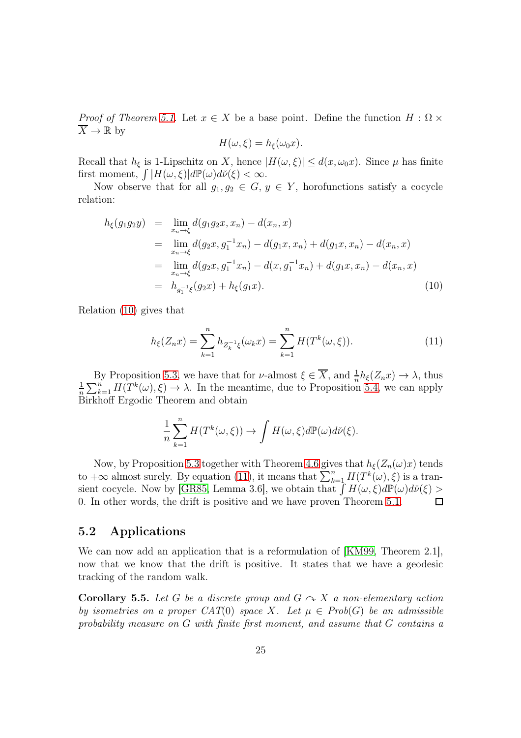*Proof of Theorem [5.1.](#page-20-1)* Let  $x \in X$  be a base point. Define the function  $H : \Omega \times$  $\overline{X} \to \mathbb{R}$  by

$$
H(\omega,\xi) = h_{\xi}(\omega_0 x).
$$

Recall that  $h_{\xi}$  is 1-Lipschitz on X, hence  $|H(\omega, \xi)| \leq d(x, \omega_0 x)$ . Since  $\mu$  has finite first moment,  $\int |H(\omega,\xi)|d\mathbb{P}(\omega)d\check{\nu}(\xi) < \infty$ .

Now observe that for all  $g_1, g_2 \in G$ ,  $y \in Y$ , horofunctions satisfy a cocycle relation:

<span id="page-24-0"></span>
$$
h_{\xi}(g_1g_2y) = \lim_{x_n \to \xi} d(g_1g_2x, x_n) - d(x_n, x)
$$
  
\n
$$
= \lim_{x_n \to \xi} d(g_2x, g_1^{-1}x_n) - d(g_1x, x_n) + d(g_1x, x_n) - d(x_n, x)
$$
  
\n
$$
= \lim_{x_n \to \xi} d(g_2x, g_1^{-1}x_n) - d(x, g_1^{-1}x_n) + d(g_1x, x_n) - d(x_n, x)
$$
  
\n
$$
= h_{g_1^{-1}\xi}(g_2x) + h_{\xi}(g_1x).
$$
\n(10)

Relation [\(10\)](#page-24-0) gives that

<span id="page-24-1"></span>
$$
h_{\xi}(Z_n x) = \sum_{k=1}^n h_{Z_k^{-1}\xi}(\omega_k x) = \sum_{k=1}^n H(T^k(\omega, \xi)).
$$
\n(11)

By Proposition [5.3,](#page-22-0) we have that for  $\nu$ -almost  $\xi \in \overline{X}$ , and  $\frac{1}{n}h_{\xi}(Z_n x) \to \lambda$ , thus 1  $\frac{1}{n}\sum_{k=1}^n H(T^k(\omega), \xi) \to \lambda$ . In the meantime, due to Proposition [5.4,](#page-22-1) we can apply Birkhoff Ergodic Theorem and obtain

$$
\frac{1}{n} \sum_{k=1}^n H(T^k(\omega,\xi)) \to \int H(\omega,\xi) d\mathbb{P}(\omega) d\check{\nu}(\xi).
$$

Now, by Proposition [5.3](#page-22-0) together with Theorem [4.6](#page-19-0) gives that  $h_{\xi}(Z_n(\omega)x)$  tends to  $+\infty$  almost surely. By equation [\(11\)](#page-24-1), it means that  $\sum_{k=1}^{n} H(T^{k}(\omega), \xi)$  is a tran-sient cocycle. Now by [\[GR85,](#page-27-7) Lemma 3.6], we obtain that  $\int H(\omega,\xi)d\mathbb{P}(\omega)d\check{\nu}(\xi)$ 0. In other words, the drift is positive and we have proven Theorem [5.1.](#page-20-1)  $\Box$ 

#### 5.2 Applications

We can now add an application that is a reformulation of [\[KM99,](#page-28-3) Theorem 2.1], now that we know that the drift is positive. It states that we have a geodesic tracking of the random walk.

**Corollary 5.5.** Let G be a discrete group and  $G \sim X$  a non-elementary action by isometries on a proper CAT(0) space X. Let  $\mu \in Prob(G)$  be an admissible probability measure on G with finite first moment, and assume that G contains a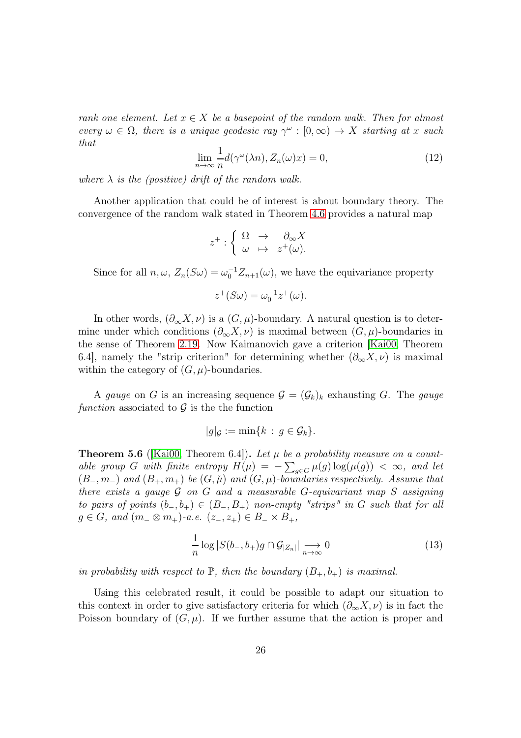rank one element. Let  $x \in X$  be a basepoint of the random walk. Then for almost every  $\omega \in \Omega$ , there is a unique geodesic ray  $\gamma^{\omega} : [0, \infty) \to X$  starting at x such that

$$
\lim_{n \to \infty} \frac{1}{n} d(\gamma^{\omega}(\lambda n), Z_n(\omega)x) = 0,
$$
\n(12)

where  $\lambda$  is the (positive) drift of the random walk.

Another application that could be of interest is about boundary theory. The convergence of the random walk stated in Theorem [4.6](#page-19-0) provides a natural map

$$
z^+:\left\{\begin{array}{lcl} \Omega & \to & \partial_\infty X \\ \omega & \mapsto & z^+(\omega). \end{array}\right.
$$

Since for all  $n, \omega$ ,  $Z_n(S\omega) = \omega_0^{-1} Z_{n+1}(\omega)$ , we have the equivariance property

$$
z^+(S\omega) = \omega_0^{-1}z^+(\omega).
$$

In other words,  $(\partial_{\infty}X,\nu)$  is a  $(G,\mu)$ -boundary. A natural question is to determine under which conditions  $(\partial_{\infty} X, \nu)$  is maximal between  $(G, \mu)$ -boundaries in the sense of Theorem [2.19.](#page-11-1) Now Kaimanovich gave a criterion [\[Kai00,](#page-28-0) Theorem 6.4], namely the "strip criterion" for determining whether  $(\partial_{\infty} X, \nu)$  is maximal within the category of  $(G, \mu)$ -boundaries.

A gauge on G is an increasing sequence  $\mathcal{G} = (\mathcal{G}_k)_k$  exhausting G. The gauge function associated to  $\mathcal G$  is the function

$$
|g|_{\mathcal{G}} := \min\{k \,:\, g \in \mathcal{G}_k\}.
$$

<span id="page-25-0"></span>**Theorem 5.6** (Kai00, Theorem 6.4). Let  $\mu$  be a probability measure on a countable group G with finite entropy  $H(\mu) = -\sum_{g \in G} \mu(g) \log(\mu(g)) < \infty$ , and let  $(B_-, m_-)$  and  $(B_+, m_+)$  be  $(G, \check{\mu})$  and  $(G, \mu)$ -boundaries respectively. Assume that there exists a gauge  $\mathcal G$  on  $G$  and a measurable  $G$ -equivariant map  $S$  assigning to pairs of points  $(b_-, b_+) \in (B_-, B_+)$  non-empty "strips" in G such that for all  $g \in G$ , and  $(m_-\otimes m_+)$ -a.e.  $(z_-, z_+) \in B_- \times B_+$ ,

$$
\frac{1}{n}\log|S(b_-,b_+)g\cap\mathcal{G}_{|Z_n|}|\underset{n\to\infty}{\longrightarrow}0\tag{13}
$$

in probability with respect to  $\mathbb P$ , then the boundary  $(B_+, b_+)$  is maximal.

Using this celebrated result, it could be possible to adapt our situation to this context in order to give satisfactory criteria for which  $(\partial_{\infty} X, \nu)$  is in fact the Poisson boundary of  $(G, \mu)$ . If we further assume that the action is proper and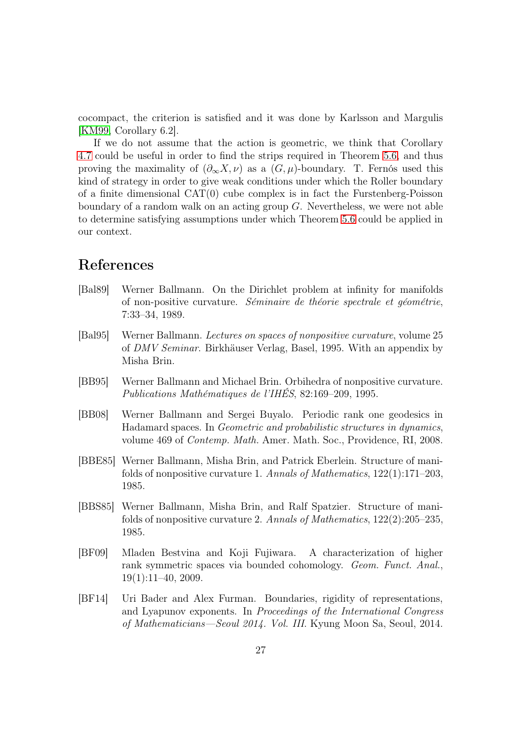cocompact, the criterion is satisfied and it was done by Karlsson and Margulis [\[KM99,](#page-28-3) Corollary 6.2].

If we do not assume that the action is geometric, we think that Corollary [4.7](#page-20-2) could be useful in order to find the strips required in Theorem [5.6,](#page-25-0) and thus proving the maximality of  $(\partial_{\infty}X,\nu)$  as a  $(G,\mu)$ -boundary. T. Fernós used this kind of strategy in order to give weak conditions under which the Roller boundary of a finite dimensional CAT(0) cube complex is in fact the Furstenberg-Poisson boundary of a random walk on an acting group  $G$ . Nevertheless, we were not able to determine satisfying assumptions under which Theorem [5.6](#page-25-0) could be applied in our context.

# References

- <span id="page-26-5"></span>[Bal89] Werner Ballmann. On the Dirichlet problem at infinity for manifolds of non-positive curvature. Séminaire de théorie spectrale et géométrie, 7:33–34, 1989.
- <span id="page-26-0"></span>[Bal95] Werner Ballmann. Lectures on spaces of nonpositive curvature, volume 25 of DMV Seminar. Birkhäuser Verlag, Basel, 1995. With an appendix by Misha Brin.
- <span id="page-26-2"></span>[BB95] Werner Ballmann and Michael Brin. Orbihedra of nonpositive curvature. Publications Mathématiques de l'IHÉS, 82:169–209, 1995.
- <span id="page-26-6"></span>[BB08] Werner Ballmann and Sergei Buyalo. Periodic rank one geodesics in Hadamard spaces. In Geometric and probabilistic structures in dynamics, volume 469 of Contemp. Math. Amer. Math. Soc., Providence, RI, 2008.
- <span id="page-26-3"></span>[BBE85] Werner Ballmann, Misha Brin, and Patrick Eberlein. Structure of manifolds of nonpositive curvature 1. Annals of Mathematics, 122(1):171–203, 1985.
- <span id="page-26-4"></span>[BBS85] Werner Ballmann, Misha Brin, and Ralf Spatzier. Structure of manifolds of nonpositive curvature 2. Annals of Mathematics, 122(2):205–235, 1985.
- <span id="page-26-1"></span>[BF09] Mladen Bestvina and Koji Fujiwara. A characterization of higher rank symmetric spaces via bounded cohomology. Geom. Funct. Anal.,  $19(1):11–40, 2009.$
- <span id="page-26-7"></span>[BF14] Uri Bader and Alex Furman. Boundaries, rigidity of representations, and Lyapunov exponents. In Proceedings of the International Congress of Mathematicians—Seoul 2014. Vol. III. Kyung Moon Sa, Seoul, 2014.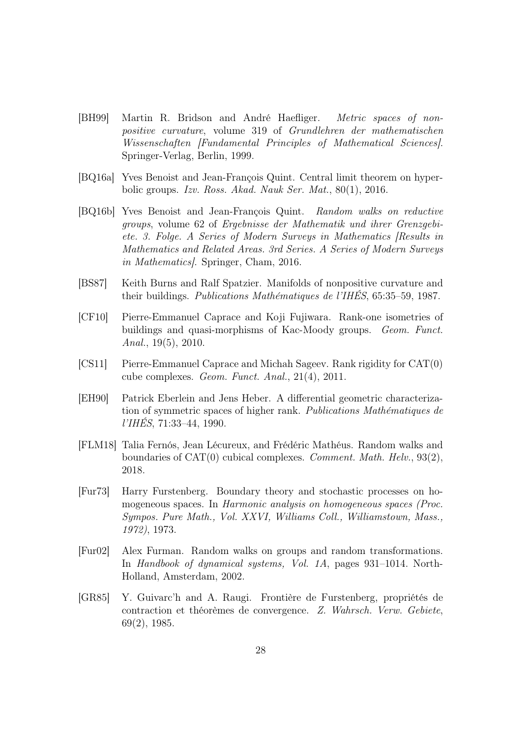- <span id="page-27-0"></span>[BH99] Martin R. Bridson and André Haefliger. Metric spaces of nonpositive curvature, volume 319 of Grundlehren der mathematischen Wissenschaften [Fundamental Principles of Mathematical Sciences]. Springer-Verlag, Berlin, 1999.
- <span id="page-27-8"></span>[BQ16a] Yves Benoist and Jean-François Quint. Central limit theorem on hyperbolic groups. Izv. Ross. Akad. Nauk Ser. Mat., 80(1), 2016.
- <span id="page-27-9"></span>[BQ16b] Yves Benoist and Jean-François Quint. Random walks on reductive groups, volume 62 of Ergebnisse der Mathematik und ihrer Grenzgebiete. 3. Folge. A Series of Modern Surveys in Mathematics [Results in Mathematics and Related Areas. 3rd Series. A Series of Modern Surveys in Mathematics]. Springer, Cham, 2016.
- <span id="page-27-1"></span>[BS87] Keith Burns and Ralf Spatzier. Manifolds of nonpositive curvature and their buildings. Publications Mathématiques de l'IHÉS, 65:35–59, 1987.
- <span id="page-27-4"></span>[CF10] Pierre-Emmanuel Caprace and Koji Fujiwara. Rank-one isometries of buildings and quasi-morphisms of Kac-Moody groups. Geom. Funct. Anal., 19(5), 2010.
- <span id="page-27-3"></span>[CS11] Pierre-Emmanuel Caprace and Michah Sageev. Rank rigidity for CAT(0) cube complexes. Geom. Funct. Anal., 21(4), 2011.
- <span id="page-27-2"></span>[EH90] Patrick Eberlein and Jens Heber. A differential geometric characterization of symmetric spaces of higher rank. Publications Mathématiques de  $I'IH\cancel{E}S$ , 71:33-44, 1990.
- <span id="page-27-6"></span>[FLM18] Talia Fernós, Jean Lécureux, and Frédéric Mathéus. Random walks and boundaries of CAT(0) cubical complexes. Comment. Math. Helv., 93(2), 2018.
- <span id="page-27-5"></span>[Fur73] Harry Furstenberg. Boundary theory and stochastic processes on homogeneous spaces. In Harmonic analysis on homogeneous spaces (Proc. Sympos. Pure Math., Vol. XXVI, Williams Coll., Williamstown, Mass., 1972), 1973.
- <span id="page-27-10"></span>[Fur02] Alex Furman. Random walks on groups and random transformations. In Handbook of dynamical systems, Vol. 1A, pages 931–1014. North-Holland, Amsterdam, 2002.
- <span id="page-27-7"></span>[GR85] Y. Guivarc'h and A. Raugi. Frontière de Furstenberg, propriétés de contraction et théorèmes de convergence. Z. Wahrsch. Verw. Gebiete, 69(2), 1985.